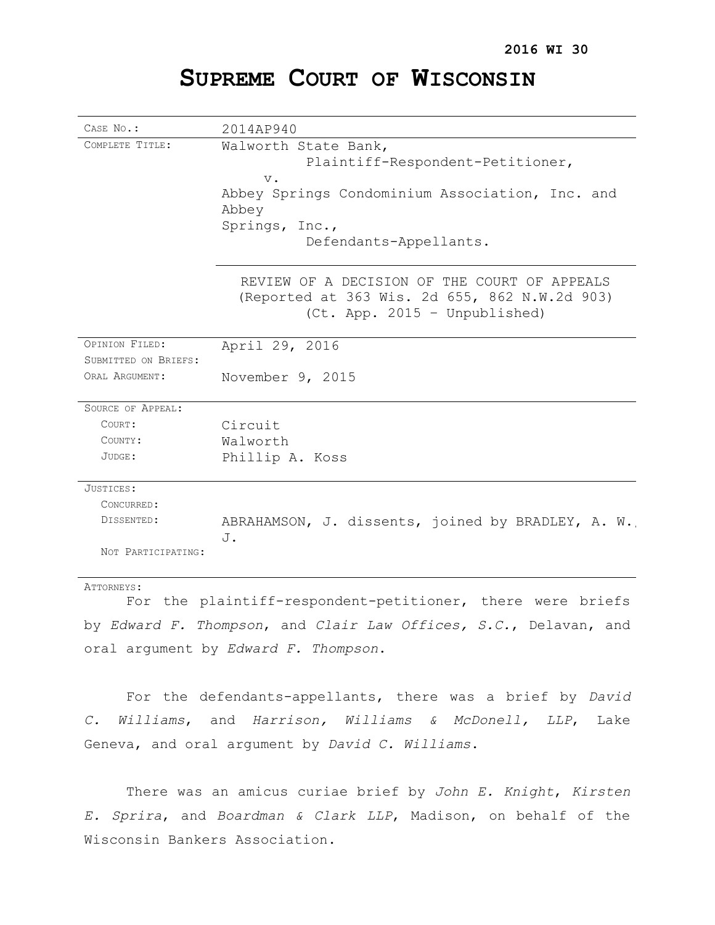# **SUPREME COURT OF WISCONSIN**

| CASE No.:            | 2014AP940                                               |
|----------------------|---------------------------------------------------------|
| COMPLETE TITLE:      | Walworth State Bank,                                    |
|                      | Plaintiff-Respondent-Petitioner,                        |
|                      | $V$ .                                                   |
|                      | Abbey Springs Condominium Association, Inc. and         |
|                      | Abbey                                                   |
|                      | Springs, Inc.,                                          |
|                      | Defendants-Appellants.                                  |
|                      |                                                         |
|                      | REVIEW OF A DECISION OF THE COURT OF APPEALS            |
|                      | (Reported at 363 Wis. 2d 655, 862 N.W.2d 903)           |
|                      | (Ct. App. 2015 - Unpublished)                           |
|                      |                                                         |
| OPINION FILED:       | April 29, 2016                                          |
| SUBMITTED ON BRIEFS: |                                                         |
| ORAL ARGUMENT:       | November 9, 2015                                        |
|                      |                                                         |
| SOURCE OF APPEAL:    |                                                         |
| COURT:               | Circuit                                                 |
| COUNTY:              | Walworth                                                |
| JUDGE:               | Phillip A. Koss                                         |
|                      |                                                         |
| JUSTICES:            |                                                         |
| CONCURRED:           |                                                         |
| DISSENTED:           | ABRAHAMSON, J. dissents, joined by BRADLEY, A. W.<br>J. |
| NOT PARTICIPATING:   |                                                         |
|                      |                                                         |

ATTORNEYS:

For the plaintiff-respondent-petitioner, there were briefs by *Edward F. Thompson*, and *Clair Law Offices, S.C.*, Delavan, and oral argument by *Edward F. Thompson*.

For the defendants-appellants, there was a brief by *David C. Williams*, and *Harrison, Williams & McDonell, LLP*, Lake Geneva, and oral argument by *David C. Williams*.

There was an amicus curiae brief by *John E. Knight*, *Kirsten E. Sprira*, and *Boardman & Clark LLP*, Madison, on behalf of the Wisconsin Bankers Association.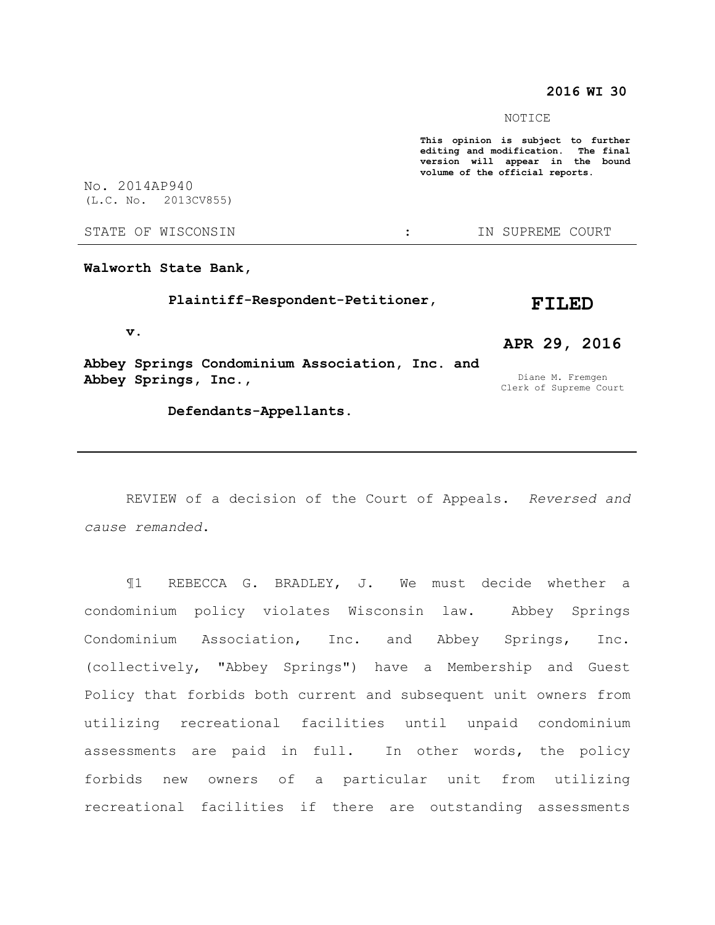### **2016 WI 30**

Clerk of Supreme Court

#### NOTICE

**This opinion is subject to further editing and modification. The final version will appear in the bound volume of the official reports.**  No. 2014AP940 (L.C. No. 2013CV855) STATE OF WISCONSIN THE RESERVE STATE OF WISCONSIN THE SERVER SOURT **Walworth State Bank, Plaintiff-Respondent-Petitioner, v. Abbey Springs Condominium Association, Inc. and Abbey Springs, Inc., FILED APR 29, 2016** Diane M. Fremgen

 **Defendants-Appellants.**

# REVIEW of a decision of the Court of Appeals. *Reversed and cause remanded*.

¶1 REBECCA G. BRADLEY, J. We must decide whether a condominium policy violates Wisconsin law. Abbey Springs Condominium Association, Inc. and Abbey Springs, Inc. (collectively, "Abbey Springs") have a Membership and Guest Policy that forbids both current and subsequent unit owners from utilizing recreational facilities until unpaid condominium assessments are paid in full. In other words, the policy forbids new owners of a particular unit from utilizing recreational facilities if there are outstanding assessments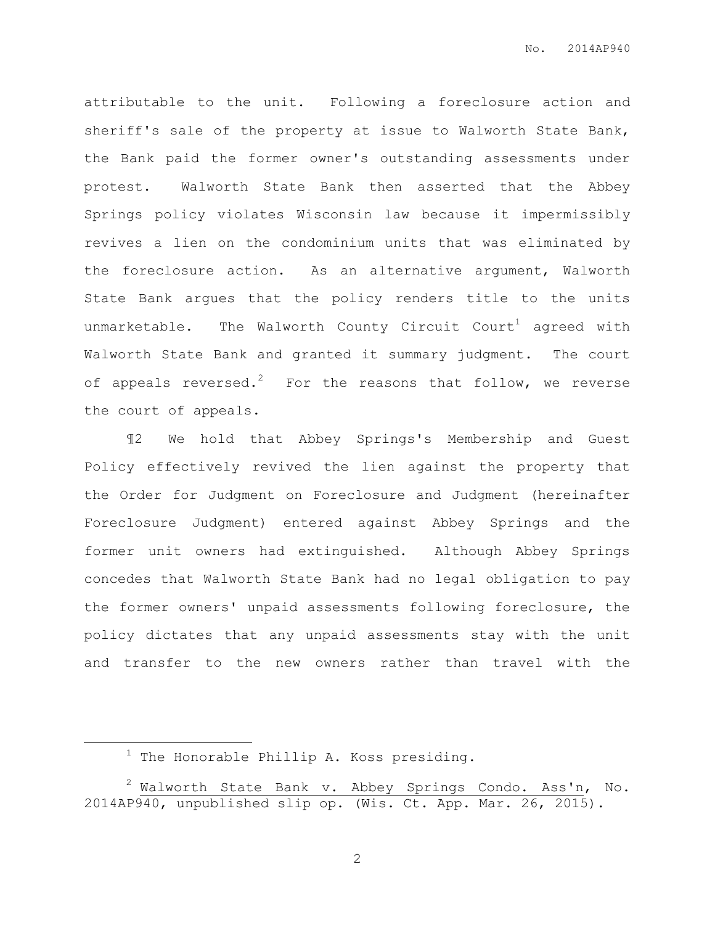attributable to the unit. Following a foreclosure action and sheriff's sale of the property at issue to Walworth State Bank, the Bank paid the former owner's outstanding assessments under protest. Walworth State Bank then asserted that the Abbey Springs policy violates Wisconsin law because it impermissibly revives a lien on the condominium units that was eliminated by the foreclosure action. As an alternative argument, Walworth State Bank argues that the policy renders title to the units unmarketable. The Walworth County Circuit Court<sup>1</sup> agreed with Walworth State Bank and granted it summary judgment. The court of appeals reversed.<sup>2</sup> For the reasons that follow, we reverse the court of appeals.

¶2 We hold that Abbey Springs's Membership and Guest Policy effectively revived the lien against the property that the Order for Judgment on Foreclosure and Judgment (hereinafter Foreclosure Judgment) entered against Abbey Springs and the former unit owners had extinguished. Although Abbey Springs concedes that Walworth State Bank had no legal obligation to pay the former owners' unpaid assessments following foreclosure, the policy dictates that any unpaid assessments stay with the unit and transfer to the new owners rather than travel with the

 $\overline{a}$ 

 $1$  The Honorable Phillip A. Koss presiding.

 $2$  Walworth State Bank v. Abbey Springs Condo. Ass'n, No. 2014AP940, unpublished slip op. (Wis. Ct. App. Mar. 26, 2015).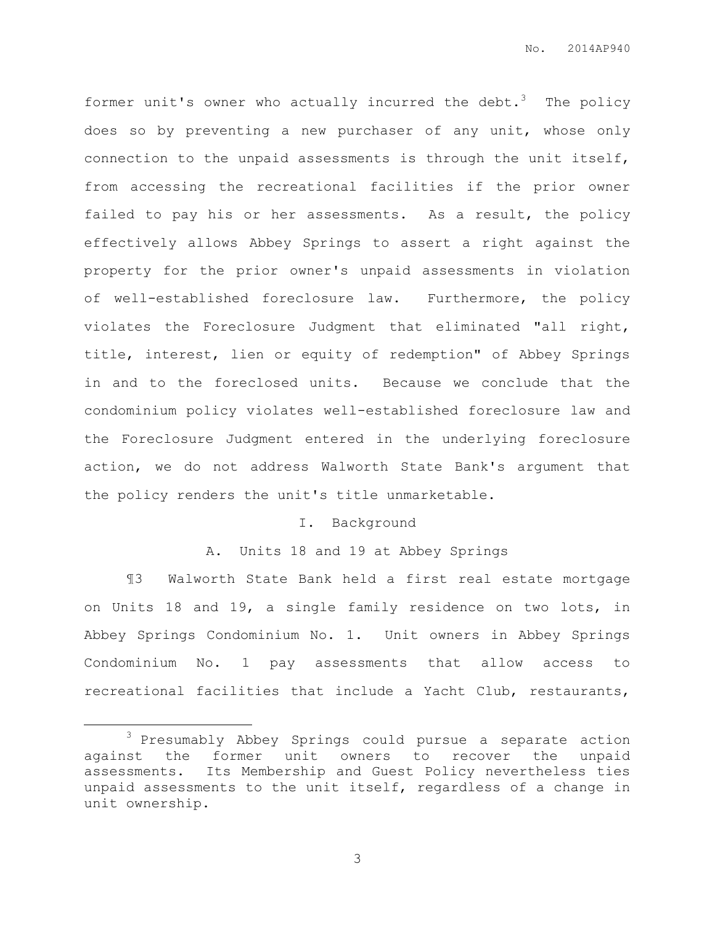former unit's owner who actually incurred the debt.<sup>3</sup> The policy does so by preventing a new purchaser of any unit, whose only connection to the unpaid assessments is through the unit itself, from accessing the recreational facilities if the prior owner failed to pay his or her assessments. As a result, the policy effectively allows Abbey Springs to assert a right against the property for the prior owner's unpaid assessments in violation of well-established foreclosure law. Furthermore, the policy violates the Foreclosure Judgment that eliminated "all right, title, interest, lien or equity of redemption" of Abbey Springs in and to the foreclosed units. Because we conclude that the condominium policy violates well-established foreclosure law and the Foreclosure Judgment entered in the underlying foreclosure action, we do not address Walworth State Bank's argument that the policy renders the unit's title unmarketable.

# I. Background

A. Units 18 and 19 at Abbey Springs

¶3 Walworth State Bank held a first real estate mortgage on Units 18 and 19, a single family residence on two lots, in Abbey Springs Condominium No. 1. Unit owners in Abbey Springs Condominium No. 1 pay assessments that allow access to recreational facilities that include a Yacht Club, restaurants,

 $\overline{a}$ 

<sup>3</sup> Presumably Abbey Springs could pursue a separate action against the former unit owners to recover the unpaid assessments. Its Membership and Guest Policy nevertheless ties unpaid assessments to the unit itself, regardless of a change in unit ownership.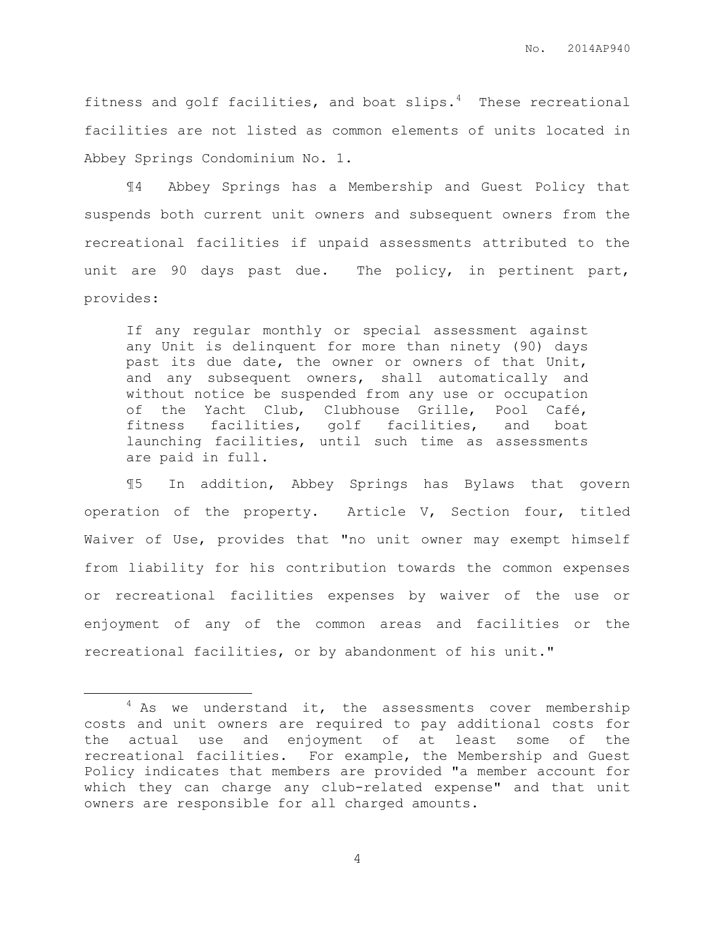fitness and golf facilities, and boat slips. $4$  These recreational facilities are not listed as common elements of units located in Abbey Springs Condominium No. 1.

¶4 Abbey Springs has a Membership and Guest Policy that suspends both current unit owners and subsequent owners from the recreational facilities if unpaid assessments attributed to the unit are 90 days past due. The policy, in pertinent part, provides:

If any regular monthly or special assessment against any Unit is delinquent for more than ninety (90) days past its due date, the owner or owners of that Unit, and any subsequent owners, shall automatically and without notice be suspended from any use or occupation of the Yacht Club, Clubhouse Grille, Pool Café, fitness facilities, golf facilities, and boat launching facilities, until such time as assessments are paid in full.

¶5 In addition, Abbey Springs has Bylaws that govern operation of the property. Article V, Section four, titled Waiver of Use, provides that "no unit owner may exempt himself from liability for his contribution towards the common expenses or recreational facilities expenses by waiver of the use or enjoyment of any of the common areas and facilities or the recreational facilities, or by abandonment of his unit."

 $\overline{a}$ 

 $4$  As we understand it, the assessments cover membership costs and unit owners are required to pay additional costs for the actual use and enjoyment of at least some of the recreational facilities. For example, the Membership and Guest Policy indicates that members are provided "a member account for which they can charge any club-related expense" and that unit owners are responsible for all charged amounts.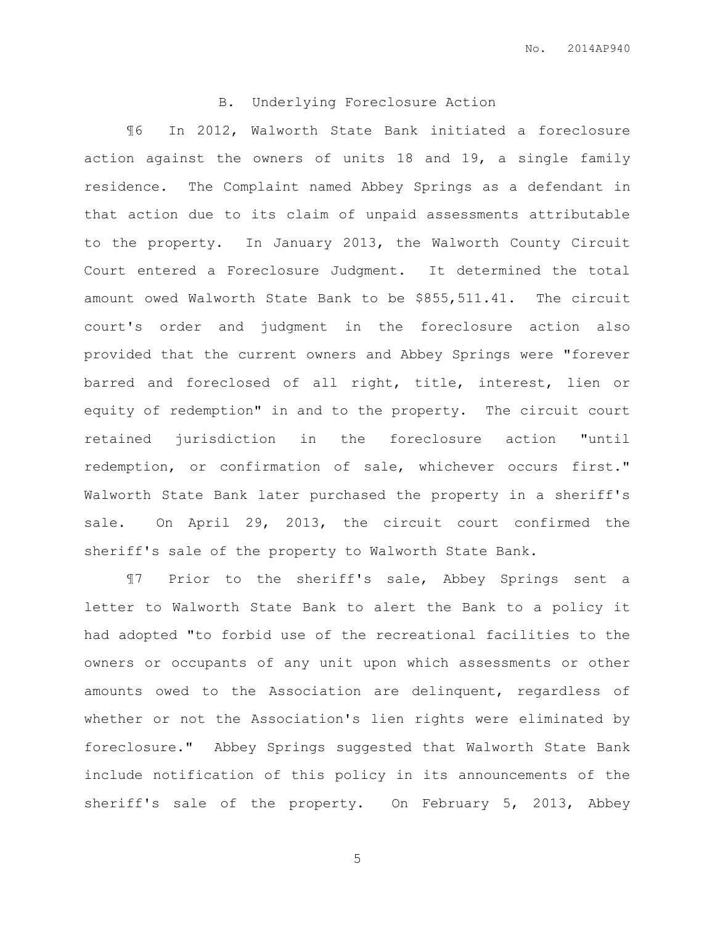## B. Underlying Foreclosure Action

¶6 In 2012, Walworth State Bank initiated a foreclosure action against the owners of units 18 and 19, a single family residence. The Complaint named Abbey Springs as a defendant in that action due to its claim of unpaid assessments attributable to the property. In January 2013, the Walworth County Circuit Court entered a Foreclosure Judgment. It determined the total amount owed Walworth State Bank to be \$855,511.41. The circuit court's order and judgment in the foreclosure action also provided that the current owners and Abbey Springs were "forever barred and foreclosed of all right, title, interest, lien or equity of redemption" in and to the property. The circuit court retained jurisdiction in the foreclosure action "until redemption, or confirmation of sale, whichever occurs first." Walworth State Bank later purchased the property in a sheriff's sale. On April 29, 2013, the circuit court confirmed the sheriff's sale of the property to Walworth State Bank.

¶7 Prior to the sheriff's sale, Abbey Springs sent a letter to Walworth State Bank to alert the Bank to a policy it had adopted "to forbid use of the recreational facilities to the owners or occupants of any unit upon which assessments or other amounts owed to the Association are delinquent, regardless of whether or not the Association's lien rights were eliminated by foreclosure." Abbey Springs suggested that Walworth State Bank include notification of this policy in its announcements of the sheriff's sale of the property. On February 5, 2013, Abbey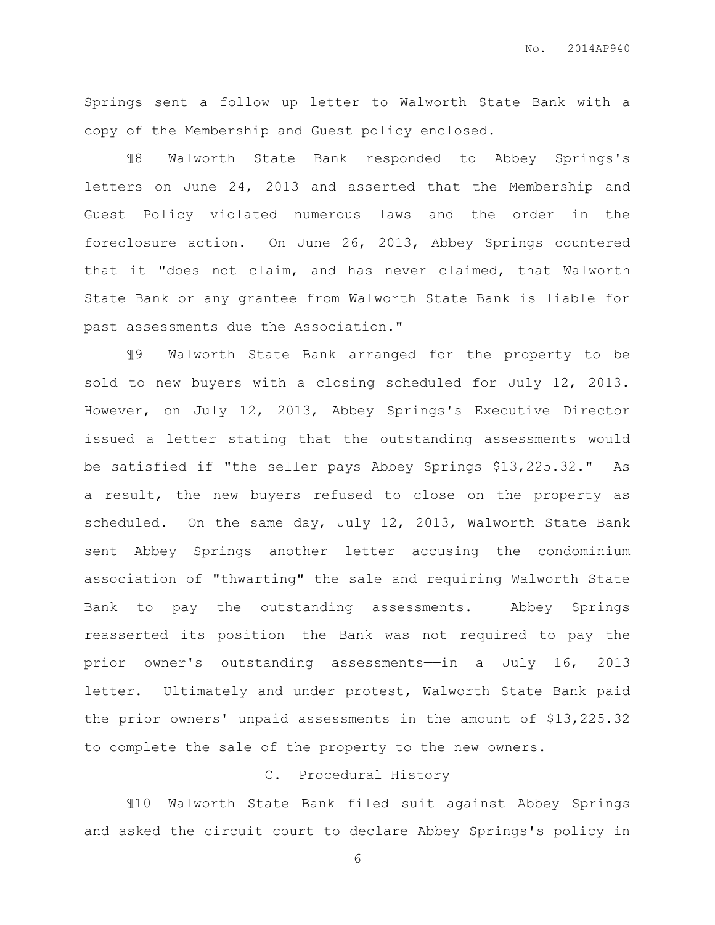No. 2014AP940

Springs sent a follow up letter to Walworth State Bank with a copy of the Membership and Guest policy enclosed.

¶8 Walworth State Bank responded to Abbey Springs's letters on June 24, 2013 and asserted that the Membership and Guest Policy violated numerous laws and the order in the foreclosure action. On June 26, 2013, Abbey Springs countered that it "does not claim, and has never claimed, that Walworth State Bank or any grantee from Walworth State Bank is liable for past assessments due the Association."

¶9 Walworth State Bank arranged for the property to be sold to new buyers with a closing scheduled for July 12, 2013. However, on July 12, 2013, Abbey Springs's Executive Director issued a letter stating that the outstanding assessments would be satisfied if "the seller pays Abbey Springs \$13,225.32." As a result, the new buyers refused to close on the property as scheduled. On the same day, July 12, 2013, Walworth State Bank sent Abbey Springs another letter accusing the condominium association of "thwarting" the sale and requiring Walworth State Bank to pay the outstanding assessments. Abbey Springs reasserted its position—the Bank was not required to pay the prior owner's outstanding assessments——in a July 16, 2013 letter. Ultimately and under protest, Walworth State Bank paid the prior owners' unpaid assessments in the amount of \$13,225.32 to complete the sale of the property to the new owners.

# C. Procedural History

¶10 Walworth State Bank filed suit against Abbey Springs and asked the circuit court to declare Abbey Springs's policy in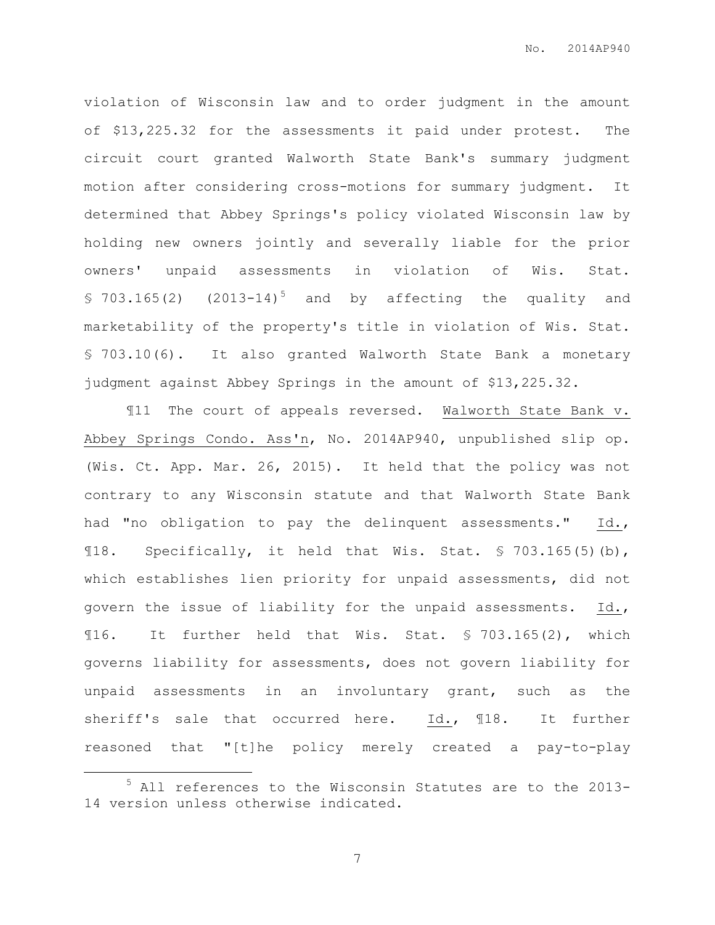violation of Wisconsin law and to order judgment in the amount of \$13,225.32 for the assessments it paid under protest. The circuit court granted Walworth State Bank's summary judgment motion after considering cross-motions for summary judgment. It determined that Abbey Springs's policy violated Wisconsin law by holding new owners jointly and severally liable for the prior owners' unpaid assessments in violation of Wis. Stat.  $$703.165(2)$   $(2013-14)^5$  and by affecting the quality and marketability of the property's title in violation of Wis. Stat. § 703.10(6). It also granted Walworth State Bank a monetary judgment against Abbey Springs in the amount of \$13,225.32.

¶11 The court of appeals reversed. Walworth State Bank v. Abbey Springs Condo. Ass'n, No. 2014AP940, unpublished slip op. (Wis. Ct. App. Mar. 26, 2015). It held that the policy was not contrary to any Wisconsin statute and that Walworth State Bank had "no obligation to pay the delinquent assessments." Id., ¶18. Specifically, it held that Wis. Stat. § 703.165(5)(b), which establishes lien priority for unpaid assessments, did not govern the issue of liability for the unpaid assessments. Id., ¶16. It further held that Wis. Stat. § 703.165(2), which governs liability for assessments, does not govern liability for unpaid assessments in an involuntary grant, such as the sheriff's sale that occurred here. Id., ¶18. It further reasoned that "[t]he policy merely created a pay-to-play

 $\overline{a}$ 

<sup>5</sup> All references to the Wisconsin Statutes are to the 2013- 14 version unless otherwise indicated.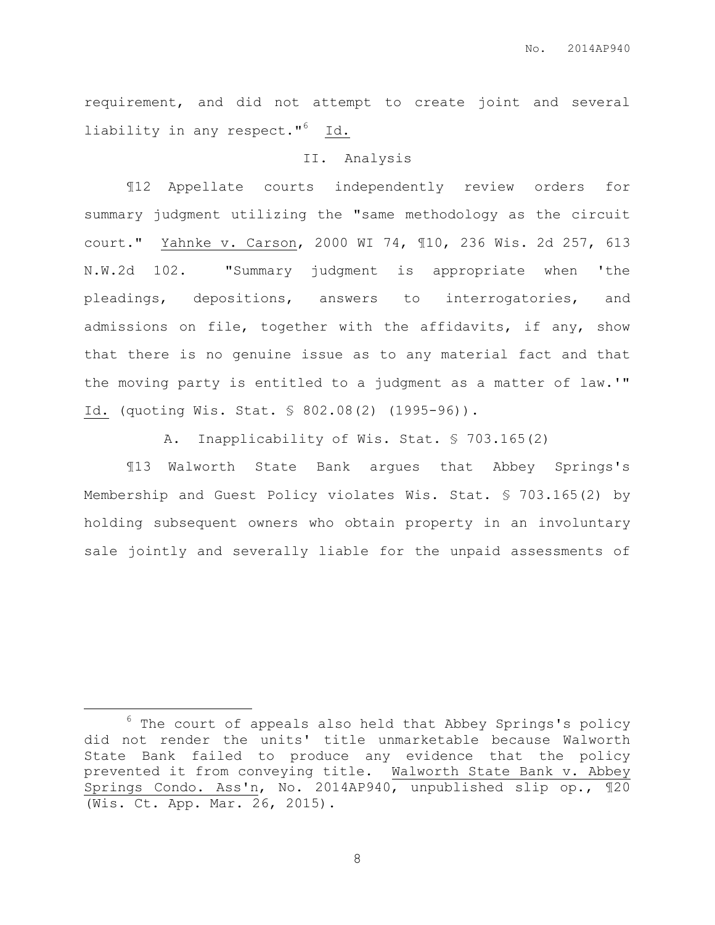requirement, and did not attempt to create joint and several liability in any respect."<sup>6</sup> Id.

#### II. Analysis

¶12 Appellate courts independently review orders for summary judgment utilizing the "same methodology as the circuit court." Yahnke v. Carson, 2000 WI 74, ¶10, 236 Wis. 2d 257, 613 N.W.2d 102. "Summary judgment is appropriate when 'the pleadings, depositions, answers to interrogatories, and admissions on file, together with the affidavits, if any, show that there is no genuine issue as to any material fact and that the moving party is entitled to a judgment as a matter of law.'" Id. (quoting Wis. Stat. § 802.08(2) (1995-96)).

A. Inapplicability of Wis. Stat. § 703.165(2)

¶13 Walworth State Bank argues that Abbey Springs's Membership and Guest Policy violates Wis. Stat. § 703.165(2) by holding subsequent owners who obtain property in an involuntary sale jointly and severally liable for the unpaid assessments of

 $\overline{a}$ 

 $6$  The court of appeals also held that Abbey Springs's policy did not render the units' title unmarketable because Walworth State Bank failed to produce any evidence that the policy prevented it from conveying title. Walworth State Bank v. Abbey Springs Condo. Ass'n, No. 2014AP940, unpublished slip op., ¶20 (Wis. Ct. App. Mar. 26, 2015).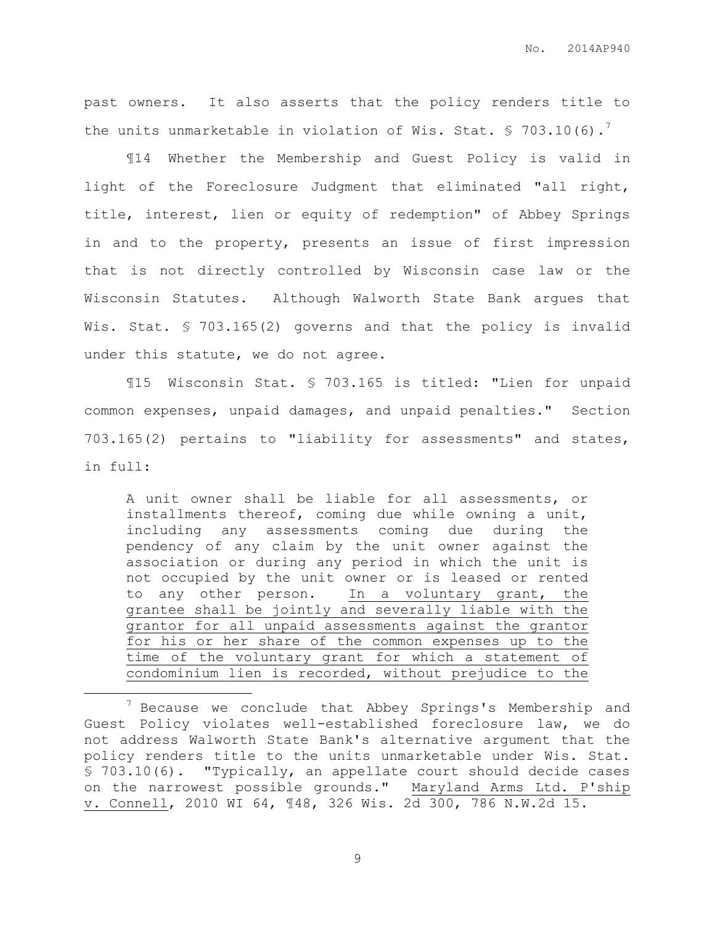past owners. It also asserts that the policy renders title to the units unmarketable in violation of Wis. Stat.  $\frac{1}{5}$  703.10(6).

¶14 Whether the Membership and Guest Policy is valid in light of the Foreclosure Judgment that eliminated "all right, title, interest, lien or equity of redemption" of Abbey Springs in and to the property, presents an issue of first impression that is not directly controlled by Wisconsin case law or the Wisconsin Statutes. Although Walworth State Bank argues that Wis. Stat. § 703.165(2) governs and that the policy is invalid under this statute, we do not agree.

¶15 Wisconsin Stat. § 703.165 is titled: "Lien for unpaid common expenses, unpaid damages, and unpaid penalties." Section 703.165(2) pertains to "liability for assessments" and states, in full:

A unit owner shall be liable for all assessments, or installments thereof, coming due while owning a unit, including any assessments coming due during the pendency of any claim by the unit owner against the association or during any period in which the unit is not occupied by the unit owner or is leased or rented to any other person. In a voluntary grant, the grantee shall be jointly and severally liable with the grantor for all unpaid assessments against the grantor for his or her share of the common expenses up to the time of the voluntary grant for which a statement of condominium lien is recorded, without prejudice to the

 $\overline{a}$ 

 $7$  Because we conclude that Abbey Springs's Membership and Guest Policy violates well-established foreclosure law, we do not address Walworth State Bank's alternative argument that the policy renders title to the units unmarketable under Wis. Stat. § 703.10(6). "Typically, an appellate court should decide cases on the narrowest possible grounds." Maryland Arms Ltd. P'ship v. Connell, 2010 WI 64, ¶48, 326 Wis. 2d 300, 786 N.W.2d 15.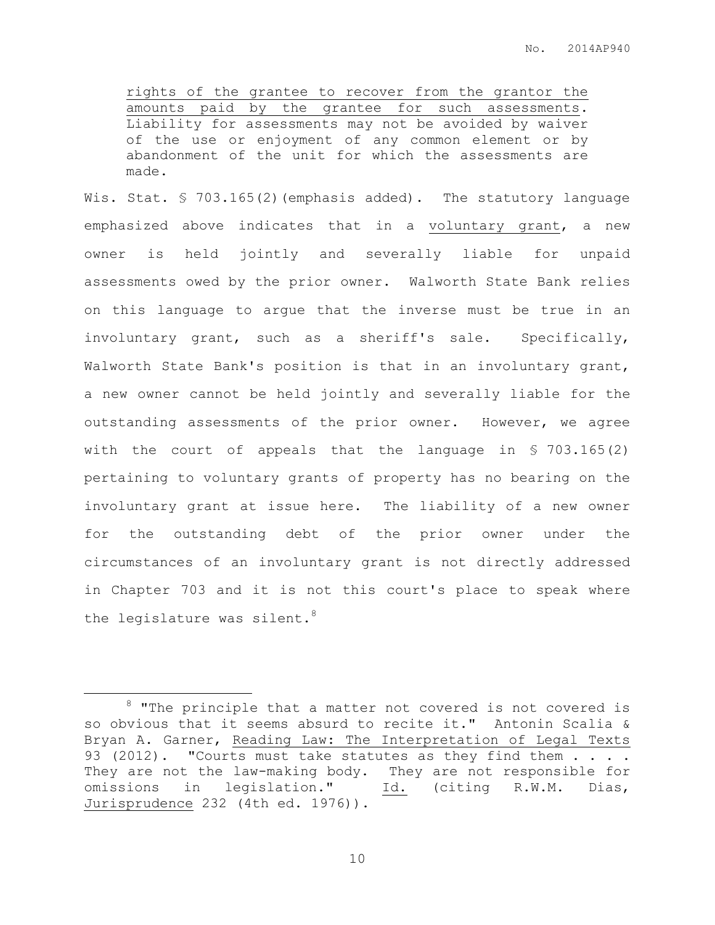rights of the grantee to recover from the grantor the amounts paid by the grantee for such assessments. Liability for assessments may not be avoided by waiver of the use or enjoyment of any common element or by abandonment of the unit for which the assessments are made.

Wis. Stat. § 703.165(2) (emphasis added). The statutory language emphasized above indicates that in a voluntary grant, a new owner is held jointly and severally liable for unpaid assessments owed by the prior owner. Walworth State Bank relies on this language to argue that the inverse must be true in an involuntary grant, such as a sheriff's sale. Specifically, Walworth State Bank's position is that in an involuntary grant, a new owner cannot be held jointly and severally liable for the outstanding assessments of the prior owner. However, we agree with the court of appeals that the language in  $$703.165(2)$ pertaining to voluntary grants of property has no bearing on the involuntary grant at issue here. The liability of a new owner for the outstanding debt of the prior owner under the circumstances of an involuntary grant is not directly addressed in Chapter 703 and it is not this court's place to speak where the legislature was silent. $8$ 

 $\overline{a}$ 

<sup>&</sup>lt;sup>8</sup> "The principle that a matter not covered is not covered is so obvious that it seems absurd to recite it." Antonin Scalia & Bryan A. Garner, Reading Law: The Interpretation of Legal Texts 93 (2012). "Courts must take statutes as they find them . . . . They are not the law-making body. They are not responsible for omissions in legislation." Id. (citing R.W.M. Dias, Jurisprudence 232 (4th ed. 1976)).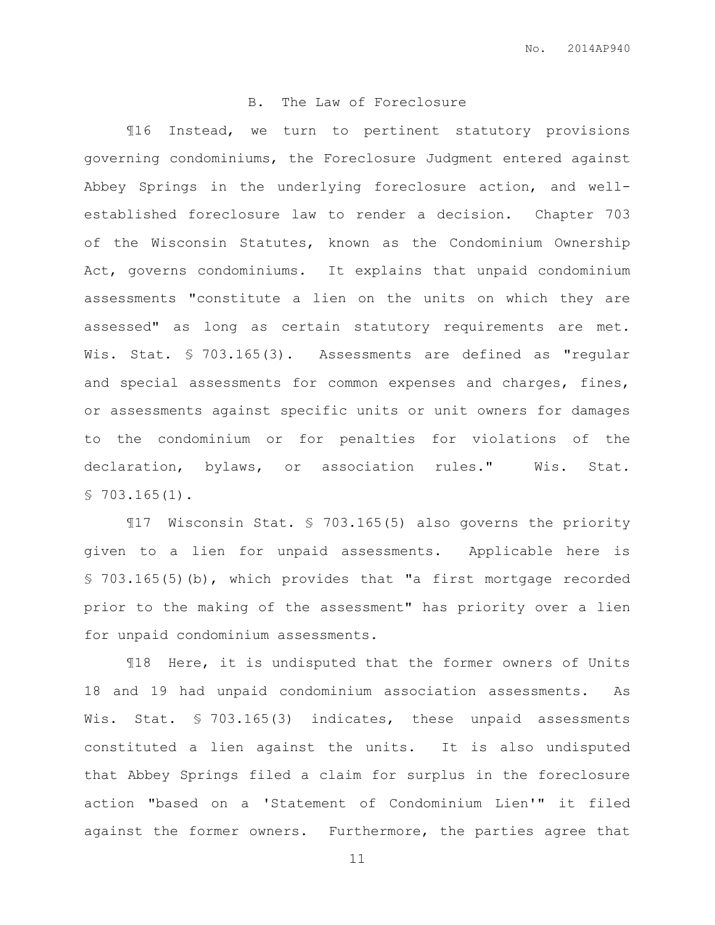### B. The Law of Foreclosure

¶16 Instead, we turn to pertinent statutory provisions governing condominiums, the Foreclosure Judgment entered against Abbey Springs in the underlying foreclosure action, and wellestablished foreclosure law to render a decision. Chapter 703 of the Wisconsin Statutes, known as the Condominium Ownership Act, governs condominiums. It explains that unpaid condominium assessments "constitute a lien on the units on which they are assessed" as long as certain statutory requirements are met. Wis. Stat. § 703.165(3). Assessments are defined as "regular and special assessments for common expenses and charges, fines, or assessments against specific units or unit owners for damages to the condominium or for penalties for violations of the declaration, bylaws, or association rules." Wis. Stat.  $$703.165(1)$ .

¶17 Wisconsin Stat. § 703.165(5) also governs the priority given to a lien for unpaid assessments. Applicable here is § 703.165(5)(b), which provides that "a first mortgage recorded prior to the making of the assessment" has priority over a lien for unpaid condominium assessments.

¶18 Here, it is undisputed that the former owners of Units 18 and 19 had unpaid condominium association assessments. As Wis. Stat. § 703.165(3) indicates, these unpaid assessments constituted a lien against the units. It is also undisputed that Abbey Springs filed a claim for surplus in the foreclosure action "based on a 'Statement of Condominium Lien'" it filed against the former owners. Furthermore, the parties agree that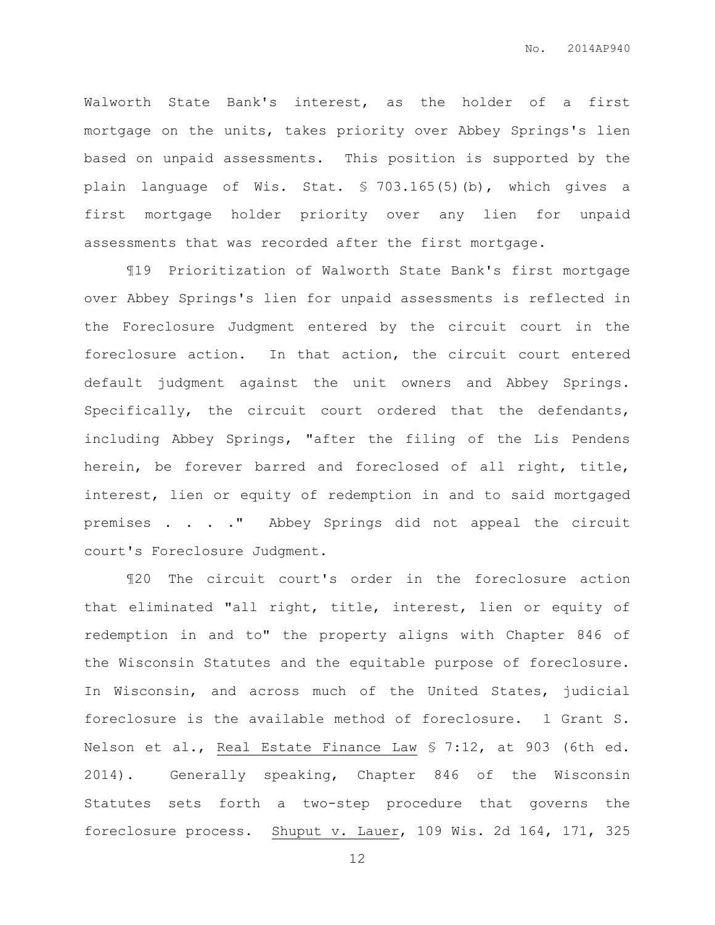Walworth State Bank's interest, as the holder of a first mortgage on the units, takes priority over Abbey Springs's lien based on unpaid assessments. This position is supported by the plain language of Wis. Stat. § 703.165(5)(b), which gives a first mortgage holder priority over any lien for unpaid assessments that was recorded after the first mortgage.

¶19 Prioritization of Walworth State Bank's first mortgage over Abbey Springs's lien for unpaid assessments is reflected in the Foreclosure Judgment entered by the circuit court in the foreclosure action. In that action, the circuit court entered default judgment against the unit owners and Abbey Springs. Specifically, the circuit court ordered that the defendants, including Abbey Springs, "after the filing of the Lis Pendens herein, be forever barred and foreclosed of all right, title, interest, lien or equity of redemption in and to said mortgaged premises . . . ." Abbey Springs did not appeal the circuit court's Foreclosure Judgment.

¶20 The circuit court's order in the foreclosure action that eliminated "all right, title, interest, lien or equity of redemption in and to" the property aligns with Chapter 846 of the Wisconsin Statutes and the equitable purpose of foreclosure. In Wisconsin, and across much of the United States, judicial foreclosure is the available method of foreclosure. 1 Grant S. Nelson et al., Real Estate Finance Law § 7:12, at 903 (6th ed. 2014). Generally speaking, Chapter 846 of the Wisconsin Statutes sets forth a two-step procedure that governs the foreclosure process. Shuput v. Lauer, 109 Wis. 2d 164, 171, 325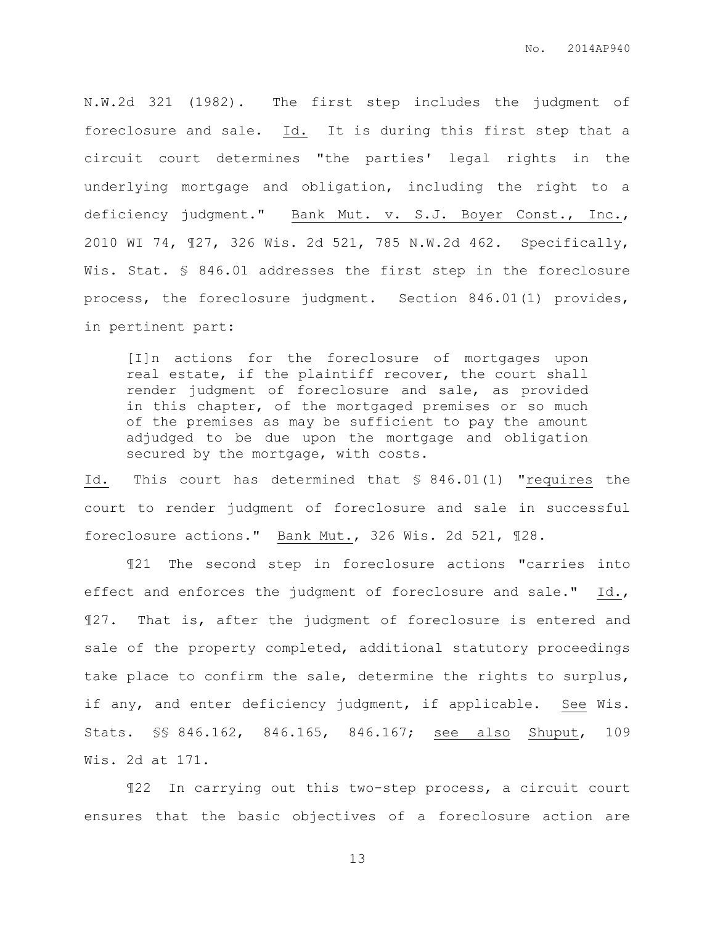N.W.2d 321 (1982). The first step includes the judgment of foreclosure and sale. Id. It is during this first step that a circuit court determines "the parties' legal rights in the underlying mortgage and obligation, including the right to a deficiency judgment." Bank Mut. v. S.J. Boyer Const., Inc., 2010 WI 74, ¶27, 326 Wis. 2d 521, 785 N.W.2d 462. Specifically, Wis. Stat. § 846.01 addresses the first step in the foreclosure process, the foreclosure judgment. Section 846.01(1) provides, in pertinent part:

[I]n actions for the foreclosure of mortgages upon real estate, if the plaintiff recover, the court shall render judgment of foreclosure and sale, as provided in this chapter, of the mortgaged premises or so much of the premises as may be sufficient to pay the amount adjudged to be due upon the mortgage and obligation secured by the mortgage, with costs.

Id. This court has determined that § 846.01(1) "requires the court to render judgment of foreclosure and sale in successful foreclosure actions." Bank Mut., 326 Wis. 2d 521, ¶28.

¶21 The second step in foreclosure actions "carries into effect and enforces the judgment of foreclosure and sale." Id., ¶27. That is, after the judgment of foreclosure is entered and sale of the property completed, additional statutory proceedings take place to confirm the sale, determine the rights to surplus, if any, and enter deficiency judgment, if applicable. See Wis. Stats. §§ 846.162, 846.165, 846.167; see also Shuput, 109 Wis. 2d at 171.

¶22 In carrying out this two-step process, a circuit court ensures that the basic objectives of a foreclosure action are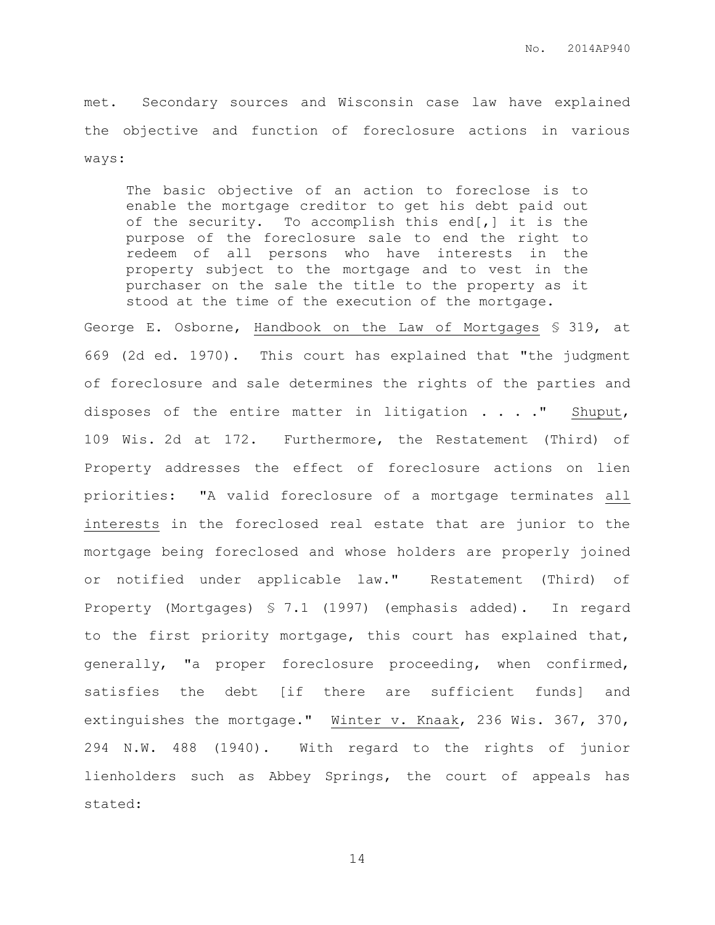met. Secondary sources and Wisconsin case law have explained the objective and function of foreclosure actions in various ways:

The basic objective of an action to foreclose is to enable the mortgage creditor to get his debt paid out of the security. To accomplish this end[,] it is the purpose of the foreclosure sale to end the right to redeem of all persons who have interests in the property subject to the mortgage and to vest in the purchaser on the sale the title to the property as it stood at the time of the execution of the mortgage.

George E. Osborne, Handbook on the Law of Mortgages § 319, at 669 (2d ed. 1970). This court has explained that "the judgment of foreclosure and sale determines the rights of the parties and disposes of the entire matter in litigation . . . ." Shuput, 109 Wis. 2d at 172. Furthermore, the Restatement (Third) of Property addresses the effect of foreclosure actions on lien priorities: "A valid foreclosure of a mortgage terminates all interests in the foreclosed real estate that are junior to the mortgage being foreclosed and whose holders are properly joined or notified under applicable law." Restatement (Third) of Property (Mortgages) § 7.1 (1997) (emphasis added). In regard to the first priority mortgage, this court has explained that, generally, "a proper foreclosure proceeding, when confirmed, satisfies the debt [if there are sufficient funds] and extinguishes the mortgage." Winter v. Knaak, 236 Wis. 367, 370, 294 N.W. 488 (1940). With regard to the rights of junior lienholders such as Abbey Springs, the court of appeals has stated: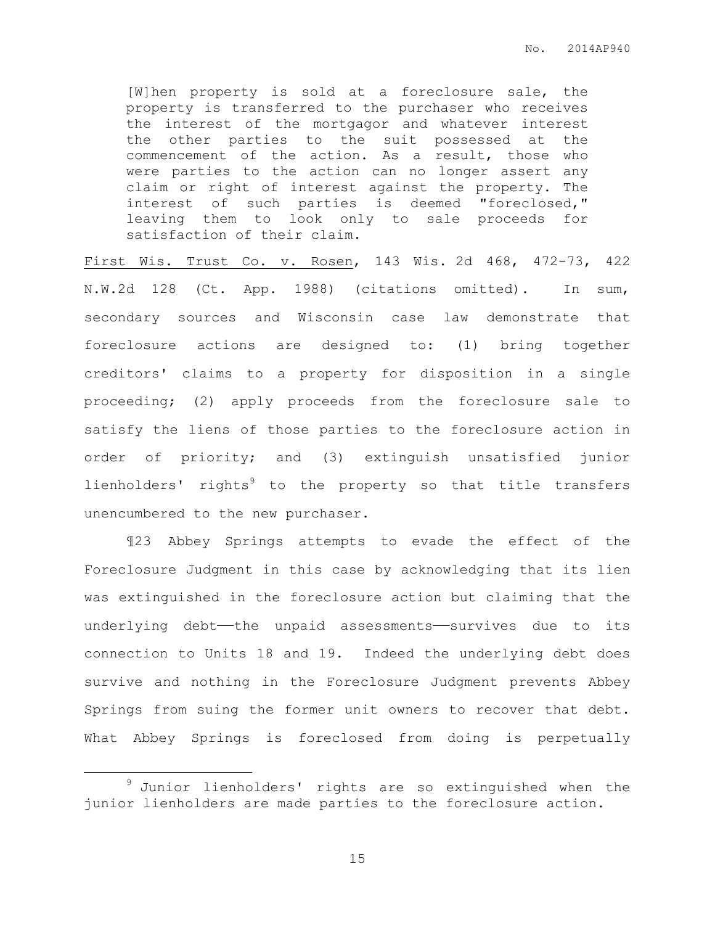[W]hen property is sold at a foreclosure sale, the property is transferred to the purchaser who receives the interest of the mortgagor and whatever interest the other parties to the suit possessed at the commencement of the action. As a result, those who were parties to the action can no longer assert any claim or right of interest against the property. The interest of such parties is deemed "foreclosed," leaving them to look only to sale proceeds for satisfaction of their claim.

First Wis. Trust Co. v. Rosen, 143 Wis. 2d 468, 472-73, 422 N.W.2d 128 (Ct. App. 1988) (citations omitted). In sum, secondary sources and Wisconsin case law demonstrate that foreclosure actions are designed to: (1) bring together creditors' claims to a property for disposition in a single proceeding; (2) apply proceeds from the foreclosure sale to satisfy the liens of those parties to the foreclosure action in order of priority; and (3) extinguish unsatisfied junior lienholders' rights<sup>9</sup> to the property so that title transfers unencumbered to the new purchaser.

¶23 Abbey Springs attempts to evade the effect of the Foreclosure Judgment in this case by acknowledging that its lien was extinguished in the foreclosure action but claiming that the underlying debt—the unpaid assessments—survives due to its connection to Units 18 and 19. Indeed the underlying debt does survive and nothing in the Foreclosure Judgment prevents Abbey Springs from suing the former unit owners to recover that debt. What Abbey Springs is foreclosed from doing is perpetually

 $\overline{a}$ 

 $9$  Junior lienholders' rights are so extinguished when the junior lienholders are made parties to the foreclosure action.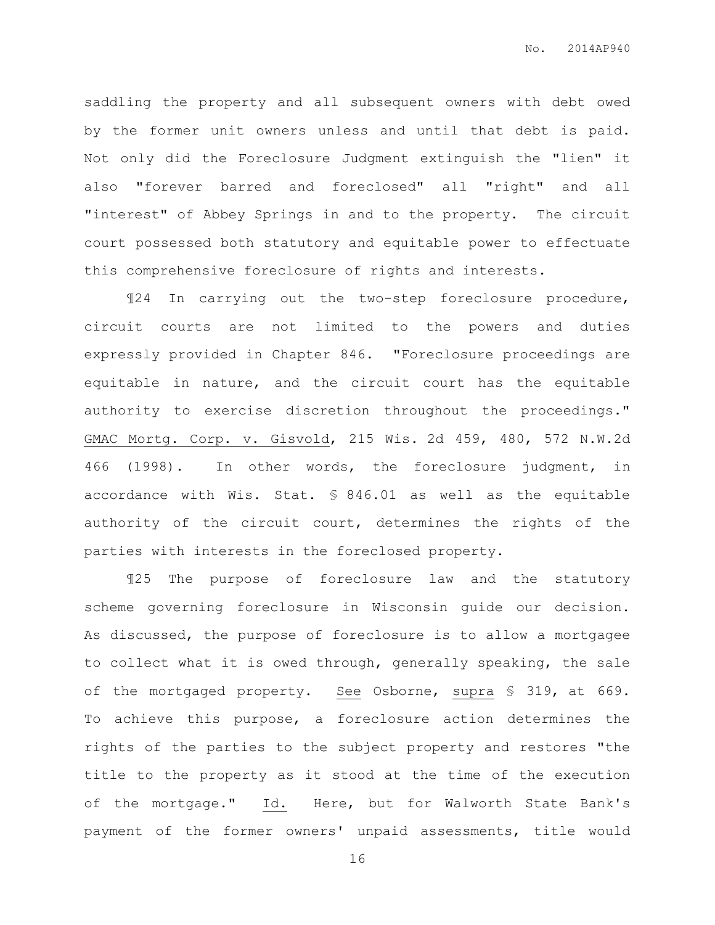saddling the property and all subsequent owners with debt owed by the former unit owners unless and until that debt is paid. Not only did the Foreclosure Judgment extinguish the "lien" it also "forever barred and foreclosed" all "right" and all "interest" of Abbey Springs in and to the property. The circuit court possessed both statutory and equitable power to effectuate this comprehensive foreclosure of rights and interests.

¶24 In carrying out the two-step foreclosure procedure, circuit courts are not limited to the powers and duties expressly provided in Chapter 846. "Foreclosure proceedings are equitable in nature, and the circuit court has the equitable authority to exercise discretion throughout the proceedings." GMAC Mortg. Corp. v. Gisvold, 215 Wis. 2d 459, 480, 572 N.W.2d 466 (1998). In other words, the foreclosure judgment, in accordance with Wis. Stat. § 846.01 as well as the equitable authority of the circuit court, determines the rights of the parties with interests in the foreclosed property.

¶25 The purpose of foreclosure law and the statutory scheme governing foreclosure in Wisconsin guide our decision. As discussed, the purpose of foreclosure is to allow a mortgagee to collect what it is owed through, generally speaking, the sale of the mortgaged property. See Osborne, supra § 319, at 669. To achieve this purpose, a foreclosure action determines the rights of the parties to the subject property and restores "the title to the property as it stood at the time of the execution of the mortgage." Id. Here, but for Walworth State Bank's payment of the former owners' unpaid assessments, title would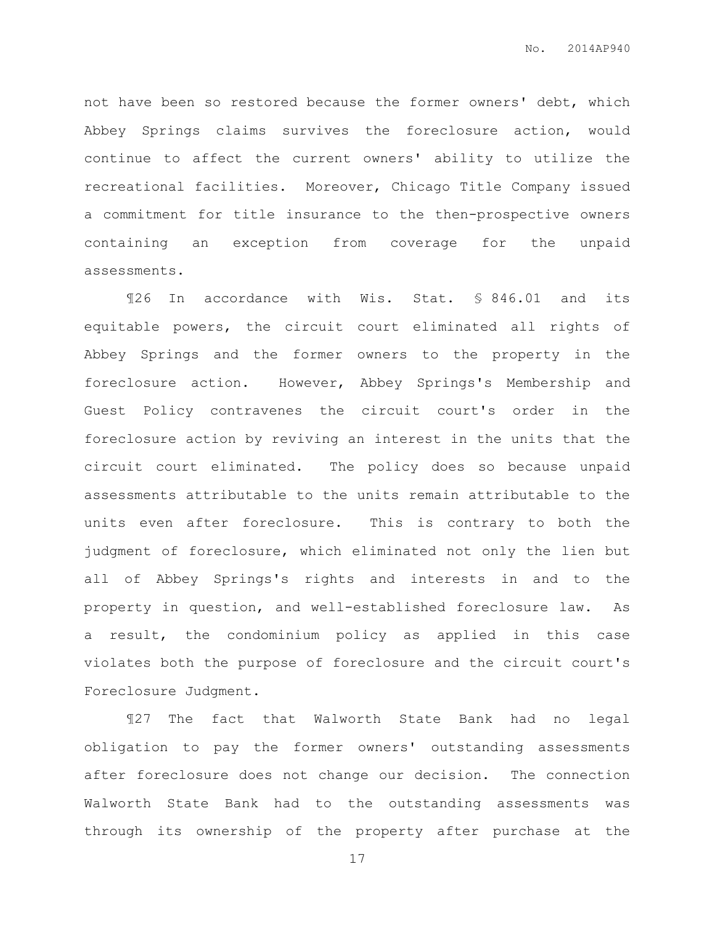not have been so restored because the former owners' debt, which Abbey Springs claims survives the foreclosure action, would continue to affect the current owners' ability to utilize the recreational facilities. Moreover, Chicago Title Company issued a commitment for title insurance to the then-prospective owners containing an exception from coverage for the unpaid assessments.

¶26 In accordance with Wis. Stat. § 846.01 and its equitable powers, the circuit court eliminated all rights of Abbey Springs and the former owners to the property in the foreclosure action. However, Abbey Springs's Membership and Guest Policy contravenes the circuit court's order in the foreclosure action by reviving an interest in the units that the circuit court eliminated. The policy does so because unpaid assessments attributable to the units remain attributable to the units even after foreclosure. This is contrary to both the judgment of foreclosure, which eliminated not only the lien but all of Abbey Springs's rights and interests in and to the property in question, and well-established foreclosure law. As a result, the condominium policy as applied in this case violates both the purpose of foreclosure and the circuit court's Foreclosure Judgment.

¶27 The fact that Walworth State Bank had no legal obligation to pay the former owners' outstanding assessments after foreclosure does not change our decision. The connection Walworth State Bank had to the outstanding assessments was through its ownership of the property after purchase at the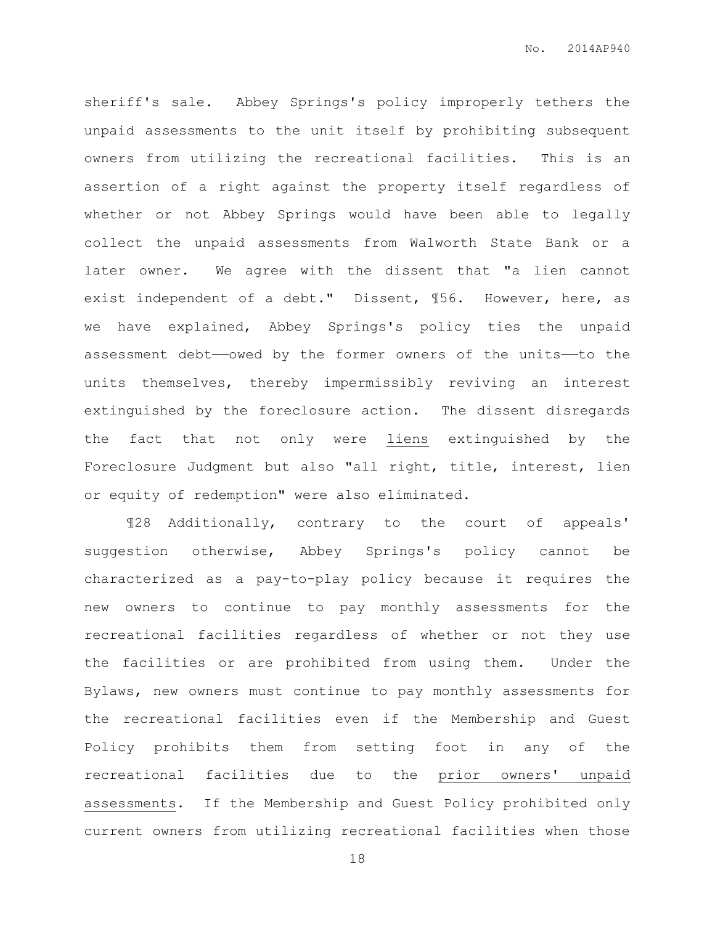sheriff's sale. Abbey Springs's policy improperly tethers the unpaid assessments to the unit itself by prohibiting subsequent owners from utilizing the recreational facilities. This is an assertion of a right against the property itself regardless of whether or not Abbey Springs would have been able to legally collect the unpaid assessments from Walworth State Bank or a later owner. We agree with the dissent that "a lien cannot exist independent of a debt." Dissent, ¶56. However, here, as we have explained, Abbey Springs's policy ties the unpaid assessment debt——owed by the former owners of the units——to the units themselves, thereby impermissibly reviving an interest extinguished by the foreclosure action. The dissent disregards the fact that not only were liens extinguished by the Foreclosure Judgment but also "all right, title, interest, lien or equity of redemption" were also eliminated.

¶28 Additionally, contrary to the court of appeals' suggestion otherwise, Abbey Springs's policy cannot be characterized as a pay-to-play policy because it requires the new owners to continue to pay monthly assessments for the recreational facilities regardless of whether or not they use the facilities or are prohibited from using them. Under the Bylaws, new owners must continue to pay monthly assessments for the recreational facilities even if the Membership and Guest Policy prohibits them from setting foot in any of the recreational facilities due to the prior owners' unpaid assessments. If the Membership and Guest Policy prohibited only current owners from utilizing recreational facilities when those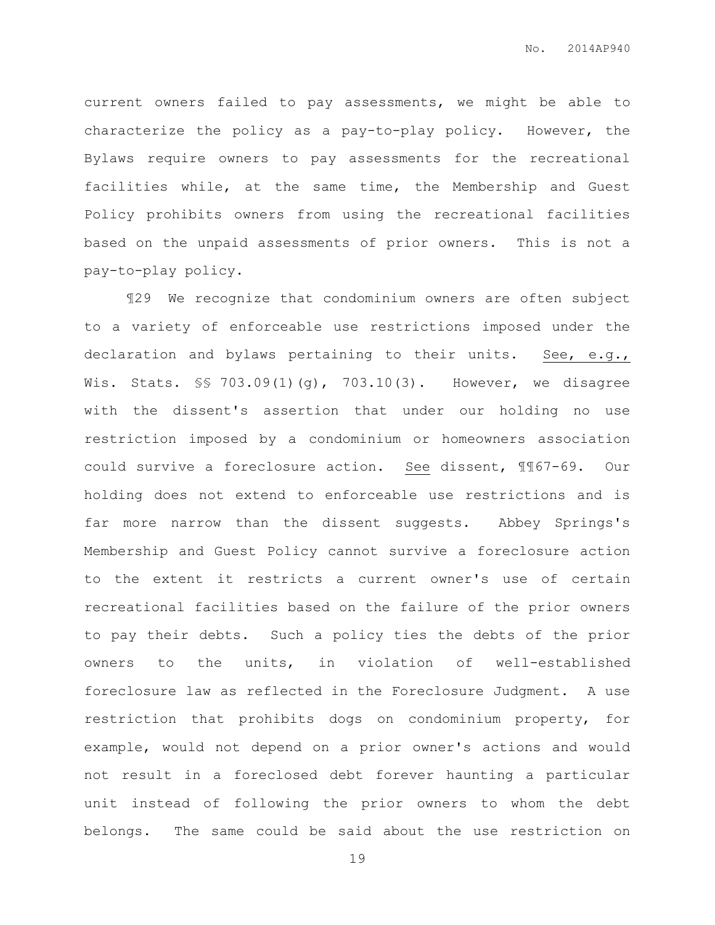current owners failed to pay assessments, we might be able to characterize the policy as a pay-to-play policy. However, the Bylaws require owners to pay assessments for the recreational facilities while, at the same time, the Membership and Guest Policy prohibits owners from using the recreational facilities based on the unpaid assessments of prior owners. This is not a pay-to-play policy.

¶29 We recognize that condominium owners are often subject to a variety of enforceable use restrictions imposed under the declaration and bylaws pertaining to their units. See, e.g., Wis. Stats. \$\$ 703.09(1)(g), 703.10(3). However, we disagree with the dissent's assertion that under our holding no use restriction imposed by a condominium or homeowners association could survive a foreclosure action. See dissent, ¶¶67-69. Our holding does not extend to enforceable use restrictions and is far more narrow than the dissent suggests. Abbey Springs's Membership and Guest Policy cannot survive a foreclosure action to the extent it restricts a current owner's use of certain recreational facilities based on the failure of the prior owners to pay their debts. Such a policy ties the debts of the prior owners to the units, in violation of well-established foreclosure law as reflected in the Foreclosure Judgment. A use restriction that prohibits dogs on condominium property, for example, would not depend on a prior owner's actions and would not result in a foreclosed debt forever haunting a particular unit instead of following the prior owners to whom the debt belongs. The same could be said about the use restriction on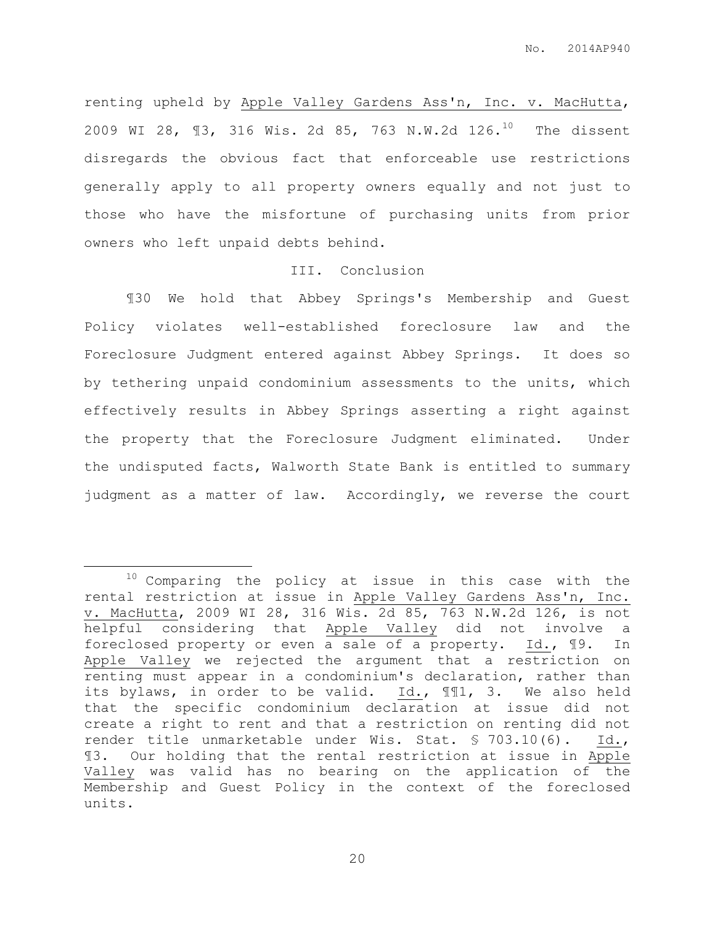renting upheld by Apple Valley Gardens Ass'n, Inc. v. MacHutta, 2009 WI 28, 13, 316 Wis. 2d 85, 763 N.W.2d 126.<sup>10</sup> The dissent disregards the obvious fact that enforceable use restrictions generally apply to all property owners equally and not just to those who have the misfortune of purchasing units from prior owners who left unpaid debts behind.

## III. Conclusion

¶30 We hold that Abbey Springs's Membership and Guest Policy violates well-established foreclosure law and the Foreclosure Judgment entered against Abbey Springs. It does so by tethering unpaid condominium assessments to the units, which effectively results in Abbey Springs asserting a right against the property that the Foreclosure Judgment eliminated. Under the undisputed facts, Walworth State Bank is entitled to summary judgment as a matter of law. Accordingly, we reverse the court

 $\overline{a}$ 

 $10$  Comparing the policy at issue in this case with the rental restriction at issue in Apple Valley Gardens Ass'n, Inc. v. MacHutta, 2009 WI 28, 316 Wis. 2d 85, 763 N.W.2d 126, is not helpful considering that Apple Valley did not involve a foreclosed property or even a sale of a property. Id., ¶9. In Apple Valley we rejected the argument that a restriction on renting must appear in a condominium's declaration, rather than its bylaws, in order to be valid. Id., ¶¶1, 3. We also held that the specific condominium declaration at issue did not create a right to rent and that a restriction on renting did not render title unmarketable under Wis. Stat. § 703.10(6). Id., ¶3. Our holding that the rental restriction at issue in Apple Valley was valid has no bearing on the application of the Membership and Guest Policy in the context of the foreclosed units.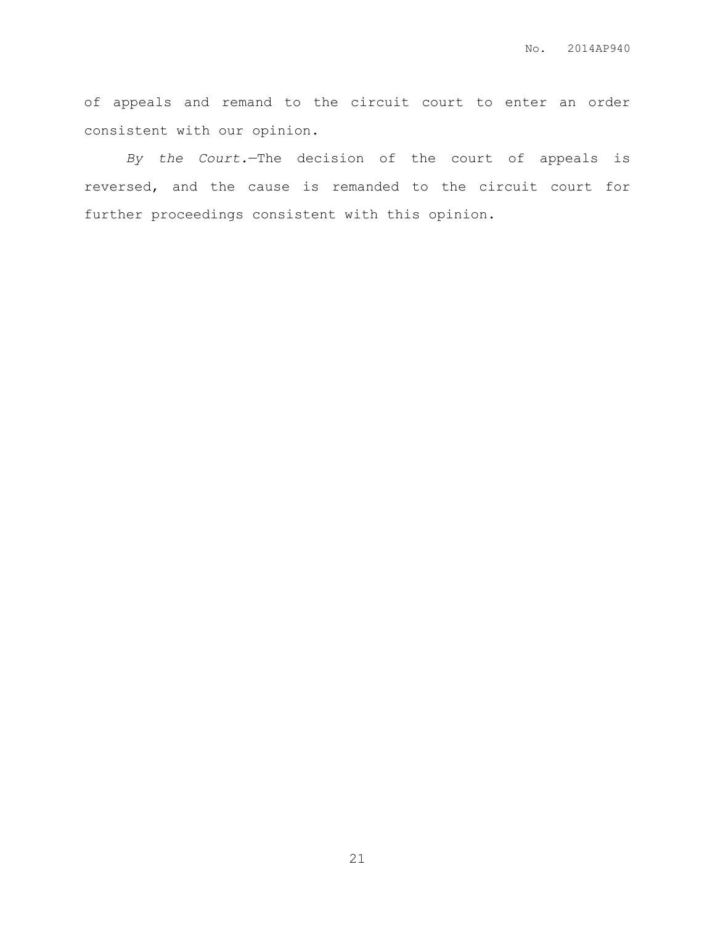of appeals and remand to the circuit court to enter an order consistent with our opinion.

*By the Court.*—The decision of the court of appeals is reversed, and the cause is remanded to the circuit court for further proceedings consistent with this opinion.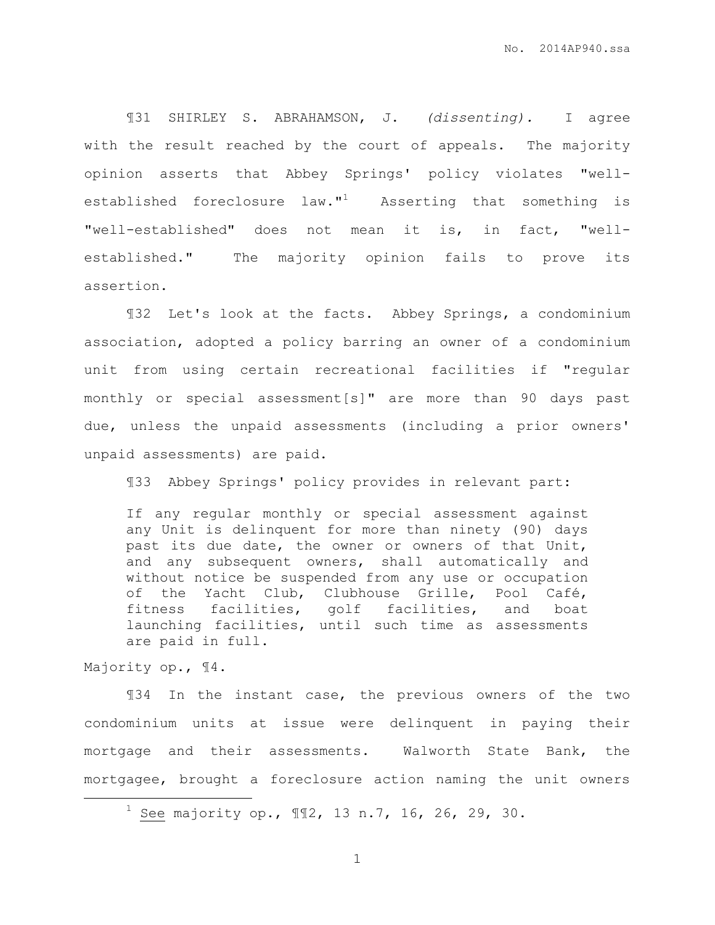¶31 SHIRLEY S. ABRAHAMSON, J. *(dissenting).* I agree with the result reached by the court of appeals. The majority opinion asserts that Abbey Springs' policy violates "wellestablished foreclosure law."<sup>1</sup> Asserting that something is "well-established" does not mean it is, in fact, "wellestablished." The majority opinion fails to prove its assertion.

¶32 Let's look at the facts. Abbey Springs, a condominium association, adopted a policy barring an owner of a condominium unit from using certain recreational facilities if "regular monthly or special assessment[s]" are more than 90 days past due, unless the unpaid assessments (including a prior owners' unpaid assessments) are paid.

¶33 Abbey Springs' policy provides in relevant part:

If any regular monthly or special assessment against any Unit is delinquent for more than ninety (90) days past its due date, the owner or owners of that Unit, and any subsequent owners, shall automatically and without notice be suspended from any use or occupation of the Yacht Club, Clubhouse Grille, Pool Café, fitness facilities, golf facilities, and boat launching facilities, until such time as assessments are paid in full.

Majority op., ¶4.

 $\overline{a}$ 

¶34 In the instant case, the previous owners of the two condominium units at issue were delinquent in paying their mortgage and their assessments. Walworth State Bank, the mortgagee, brought a foreclosure action naming the unit owners

<sup>&</sup>lt;sup>1</sup> See majority op.,  $\mathbb{I}12$ , 13 n.7, 16, 26, 29, 30.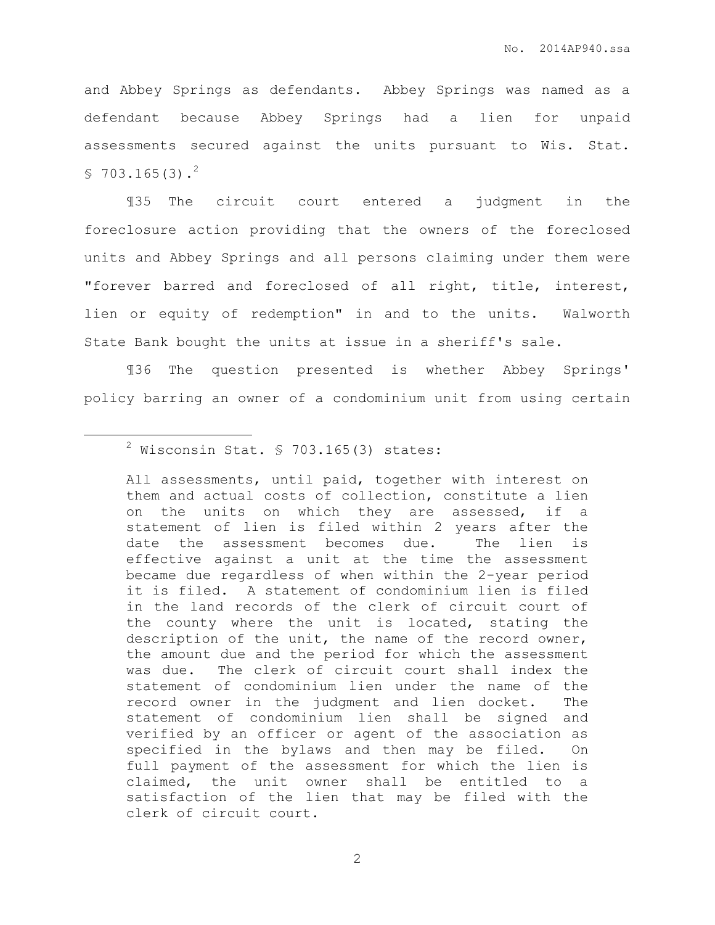and Abbey Springs as defendants. Abbey Springs was named as a defendant because Abbey Springs had a lien for unpaid assessments secured against the units pursuant to Wis. Stat.  $$703.165(3).<sup>2</sup>$ 

¶35 The circuit court entered a judgment in the foreclosure action providing that the owners of the foreclosed units and Abbey Springs and all persons claiming under them were "forever barred and foreclosed of all right, title, interest, lien or equity of redemption" in and to the units. Walworth State Bank bought the units at issue in a sheriff's sale.

¶36 The question presented is whether Abbey Springs' policy barring an owner of a condominium unit from using certain

 $\overline{a}$ 

All assessments, until paid, together with interest on them and actual costs of collection, constitute a lien on the units on which they are assessed, if a statement of lien is filed within 2 years after the date the assessment becomes due. The lien is effective against a unit at the time the assessment became due regardless of when within the 2-year period it is filed. A statement of condominium lien is filed in the land records of the clerk of circuit court of the county where the unit is located, stating the description of the unit, the name of the record owner, the amount due and the period for which the assessment was due. The clerk of circuit court shall index the statement of condominium lien under the name of the record owner in the judgment and lien docket. The statement of condominium lien shall be signed and verified by an officer or agent of the association as specified in the bylaws and then may be filed. On full payment of the assessment for which the lien is claimed, the unit owner shall be entitled to a satisfaction of the lien that may be filed with the clerk of circuit court.

 $2$  Wisconsin Stat. § 703.165(3) states: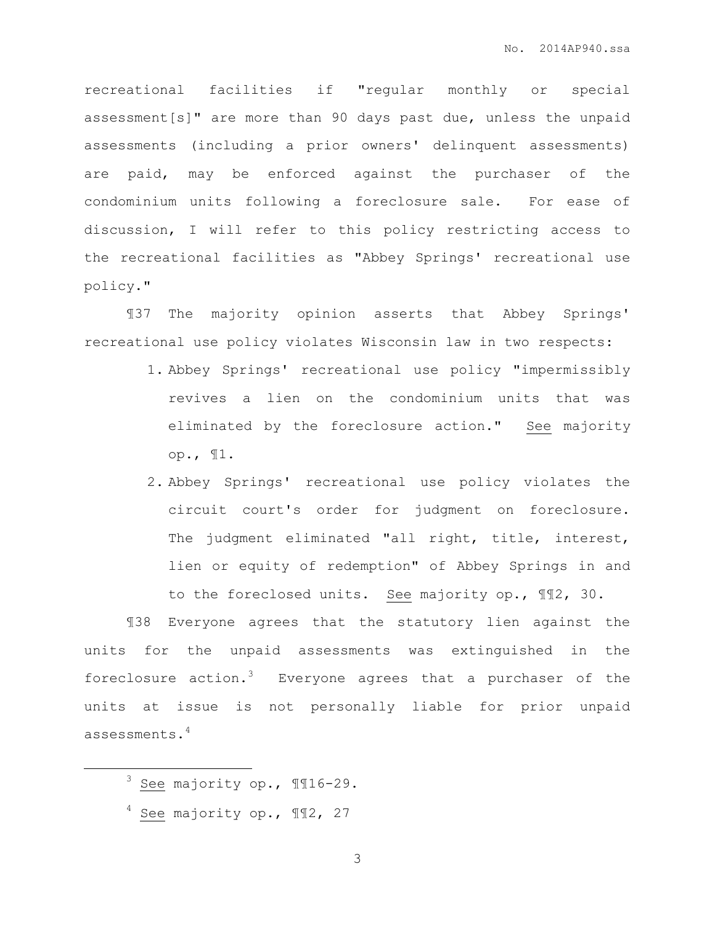recreational facilities if "regular monthly or special assessment[s]" are more than 90 days past due, unless the unpaid assessments (including a prior owners' delinquent assessments) are paid, may be enforced against the purchaser of the condominium units following a foreclosure sale. For ease of discussion, I will refer to this policy restricting access to the recreational facilities as "Abbey Springs' recreational use policy."

¶37 The majority opinion asserts that Abbey Springs' recreational use policy violates Wisconsin law in two respects:

- 1. Abbey Springs' recreational use policy "impermissibly revives a lien on the condominium units that was eliminated by the foreclosure action." See majority op., ¶1.
- 2. Abbey Springs' recreational use policy violates the circuit court's order for judgment on foreclosure. The judgment eliminated "all right, title, interest, lien or equity of redemption" of Abbey Springs in and to the foreclosed units. See majority op., ¶¶2, 30.

¶38 Everyone agrees that the statutory lien against the units for the unpaid assessments was extinguished in the foreclosure action.<sup>3</sup> Everyone agrees that a purchaser of the units at issue is not personally liable for prior unpaid assessments.<sup>4</sup>

 $\overline{a}$ 

 $4$  See majority op.,  $\P$ 12, 27

<sup>3</sup> See majority op., ¶¶16-29.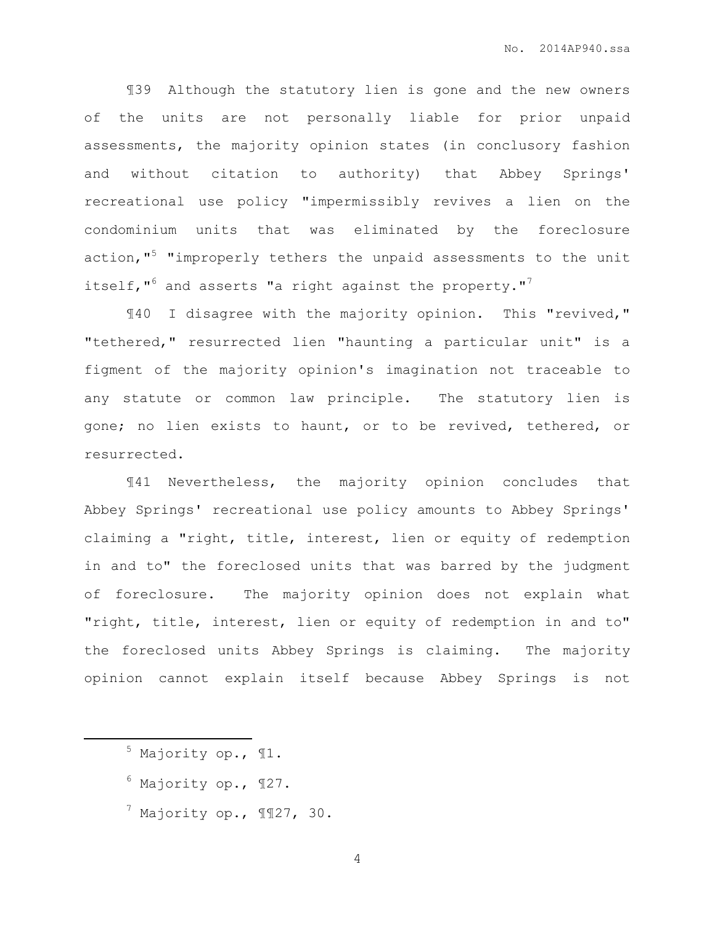¶39 Although the statutory lien is gone and the new owners of the units are not personally liable for prior unpaid assessments, the majority opinion states (in conclusory fashion and without citation to authority) that Abbey Springs' recreational use policy "impermissibly revives a lien on the condominium units that was eliminated by the foreclosure action, $15$  "improperly tethers the unpaid assessments to the unit itself," $^6$  and asserts "a right against the property."<sup>7</sup>

¶40 I disagree with the majority opinion. This "revived," "tethered," resurrected lien "haunting a particular unit" is a figment of the majority opinion's imagination not traceable to any statute or common law principle. The statutory lien is gone; no lien exists to haunt, or to be revived, tethered, or resurrected.

¶41 Nevertheless, the majority opinion concludes that Abbey Springs' recreational use policy amounts to Abbey Springs' claiming a "right, title, interest, lien or equity of redemption in and to" the foreclosed units that was barred by the judgment of foreclosure. The majority opinion does not explain what "right, title, interest, lien or equity of redemption in and to" the foreclosed units Abbey Springs is claiming. The majority opinion cannot explain itself because Abbey Springs is not

<sup>5</sup> Majority op., ¶1.

 $\overline{a}$ 

- $6$  Majority op.,  $\P$ 27.
- $^7$  Majority op.,  $\P$  127, 30.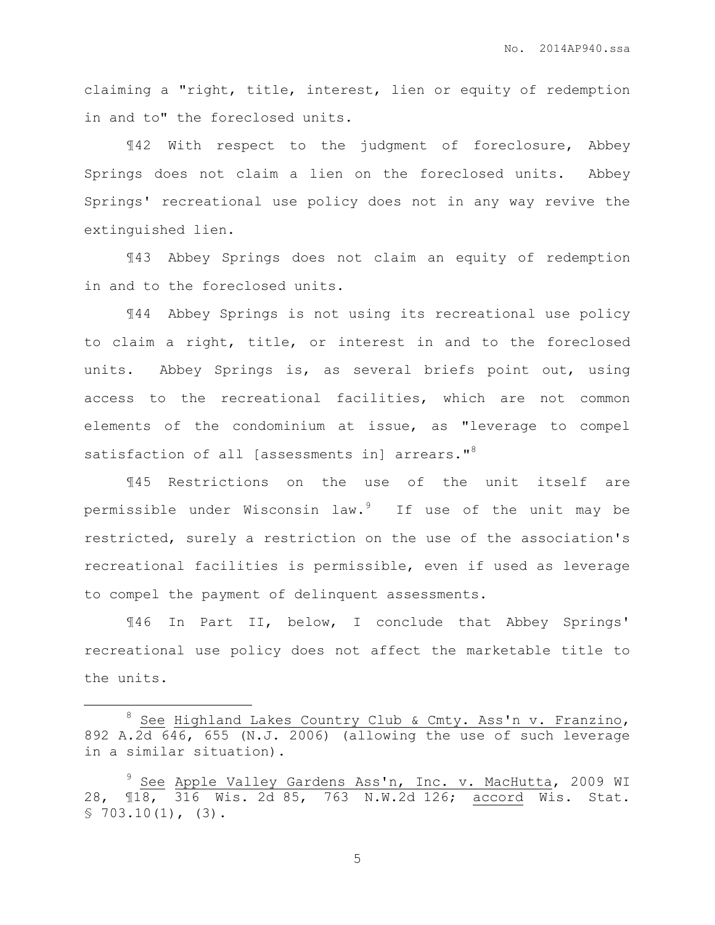claiming a "right, title, interest, lien or equity of redemption in and to" the foreclosed units.

¶42 With respect to the judgment of foreclosure, Abbey Springs does not claim a lien on the foreclosed units. Abbey Springs' recreational use policy does not in any way revive the extinguished lien.

¶43 Abbey Springs does not claim an equity of redemption in and to the foreclosed units.

¶44 Abbey Springs is not using its recreational use policy to claim a right, title, or interest in and to the foreclosed units. Abbey Springs is, as several briefs point out, using access to the recreational facilities, which are not common elements of the condominium at issue, as "leverage to compel satisfaction of all [assessments in] arrears."<sup>8</sup>

¶45 Restrictions on the use of the unit itself are permissible under Wisconsin law.<sup>9</sup> If use of the unit may be restricted, surely a restriction on the use of the association's recreational facilities is permissible, even if used as leverage to compel the payment of delinquent assessments.

¶46 In Part II, below, I conclude that Abbey Springs' recreational use policy does not affect the marketable title to the units.

 $\overline{a}$ 

<sup>&</sup>lt;sup>8</sup> See Highland Lakes Country Club & Cmty. Ass'n v. Franzino, 892 A.2d 646, 655 (N.J. 2006) (allowing the use of such leverage in a similar situation).

<sup>&</sup>lt;sup>9</sup> Se<u>e</u> Apple Valley Gardens Ass'n, Inc. v. MacHutta, 2009 WI 28, ¶18, 316 Wis. 2d 85, 763 N.W.2d 126; accord Wis. Stat.  $$703.10(1)$ , (3).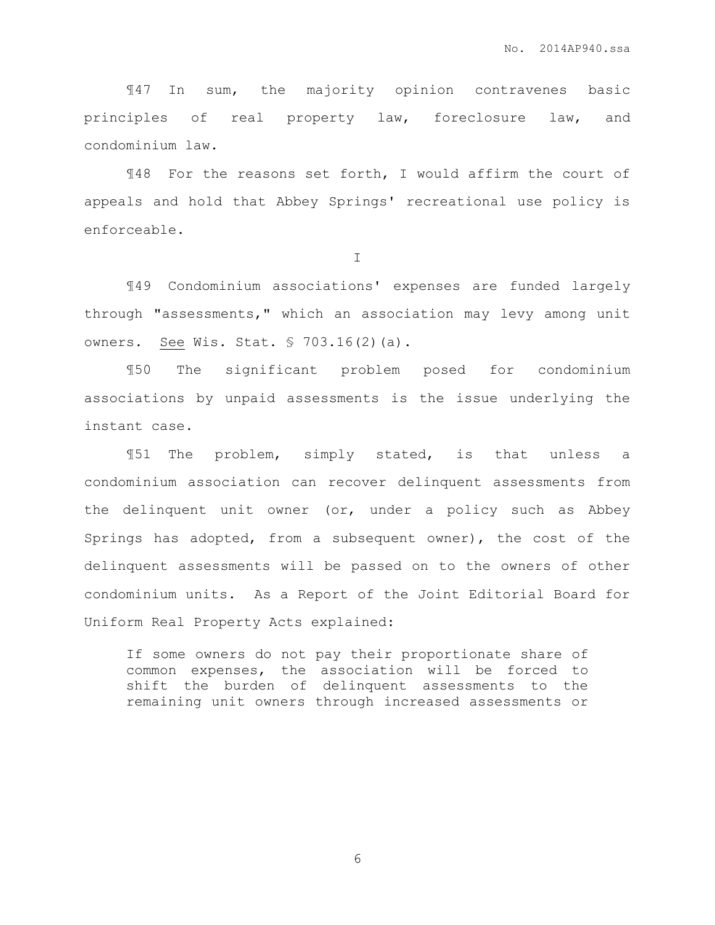¶47 In sum, the majority opinion contravenes basic principles of real property law, foreclosure law, and condominium law.

¶48 For the reasons set forth, I would affirm the court of appeals and hold that Abbey Springs' recreational use policy is enforceable.

I

¶49 Condominium associations' expenses are funded largely through "assessments," which an association may levy among unit owners. See Wis. Stat. § 703.16(2)(a).

¶50 The significant problem posed for condominium associations by unpaid assessments is the issue underlying the instant case.

¶51 The problem, simply stated, is that unless a condominium association can recover delinquent assessments from the delinquent unit owner (or, under a policy such as Abbey Springs has adopted, from a subsequent owner), the cost of the delinquent assessments will be passed on to the owners of other condominium units. As a Report of the Joint Editorial Board for Uniform Real Property Acts explained:

If some owners do not pay their proportionate share of common expenses, the association will be forced to shift the burden of delinquent assessments to the remaining unit owners through increased assessments or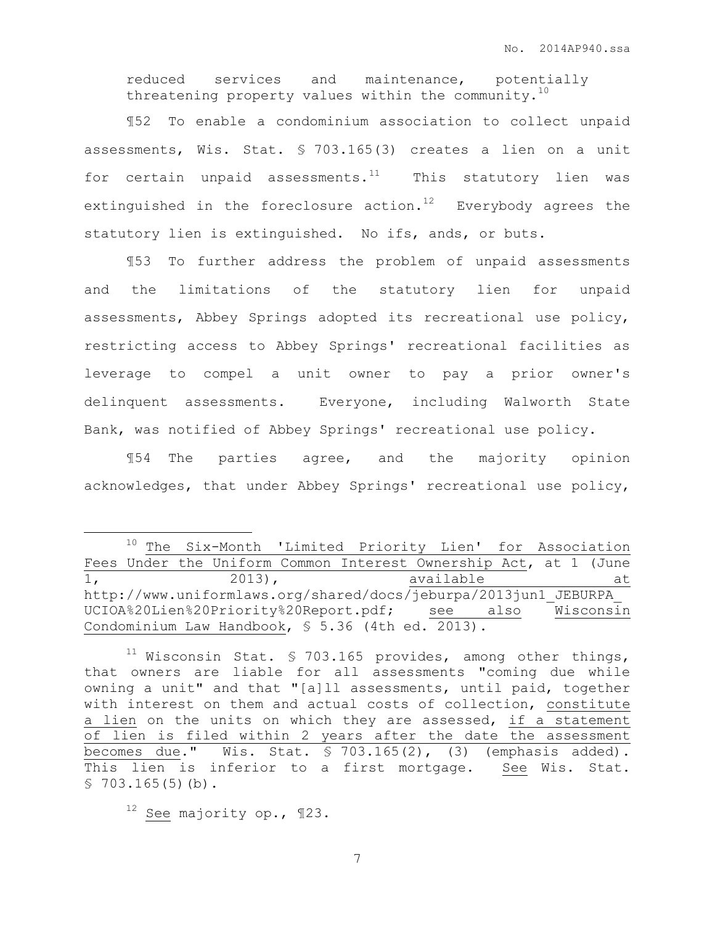reduced services and maintenance, potentially threatening property values within the community. $10$ 

¶52 To enable a condominium association to collect unpaid assessments, Wis. Stat. § 703.165(3) creates a lien on a unit for certain unpaid assessments. $11$  This statutory lien was extinguished in the foreclosure action.<sup>12</sup> Everybody agrees the statutory lien is extinguished. No ifs, ands, or buts.

¶53 To further address the problem of unpaid assessments and the limitations of the statutory lien for unpaid assessments, Abbey Springs adopted its recreational use policy, restricting access to Abbey Springs' recreational facilities as leverage to compel a unit owner to pay a prior owner's delinquent assessments. Everyone, including Walworth State Bank, was notified of Abbey Springs' recreational use policy.

¶54 The parties agree, and the majority opinion acknowledges, that under Abbey Springs' recreational use policy,

 $\overline{a}$ 

<sup>10</sup> The Six-Month 'Limited Priority Lien' for Association Fees Under the Uniform Common Interest Ownership Act, at 1 (June 1, 2013), available at http://www.uniformlaws.org/shared/docs/jeburpa/2013jun1\_JEBURPA\_ UCIOA%20Lien%20Priority%20Report.pdf; see also Wisconsin Condominium Law Handbook, § 5.36 (4th ed. 2013).

<sup>&</sup>lt;sup>11</sup> Wisconsin Stat. § 703.165 provides, among other things, that owners are liable for all assessments "coming due while owning a unit" and that "[a]ll assessments, until paid, together with interest on them and actual costs of collection, constitute a lien on the units on which they are assessed, if a statement of lien is filed within 2 years after the date the assessment becomes due." Wis. Stat. § 703.165(2), (3) (emphasis added). This lien is inferior to a first mortgage. See Wis. Stat.  $$703.165(5)(b).$ 

<sup>12</sup> See majority op., ¶23.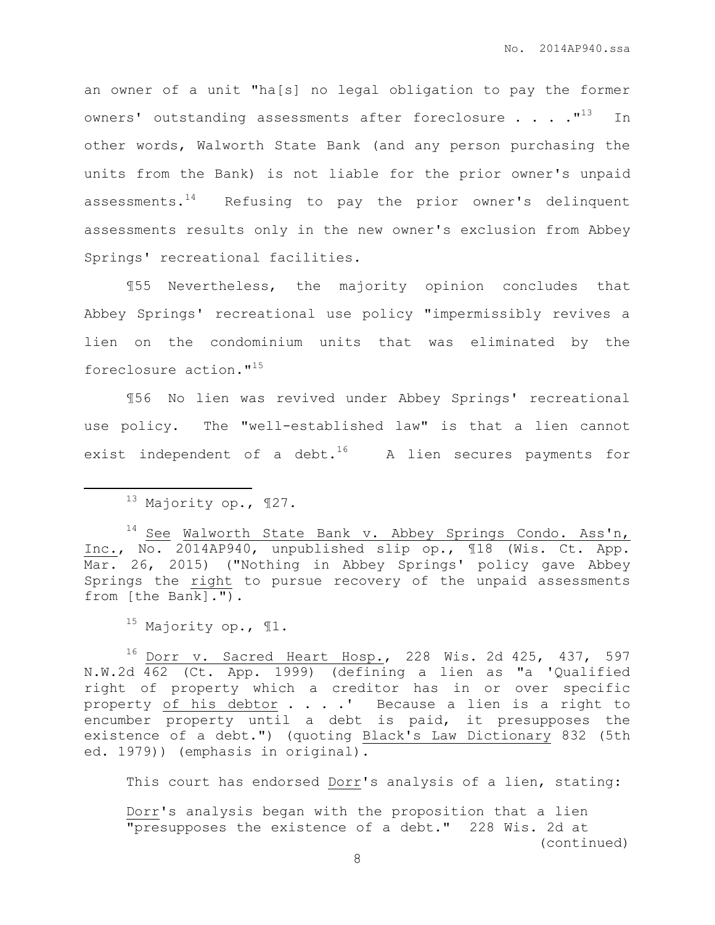an owner of a unit "ha[s] no legal obligation to pay the former owners' outstanding assessments after foreclosure  $\ldots$ . ...  $^{\prime\prime}$  In other words, Walworth State Bank (and any person purchasing the units from the Bank) is not liable for the prior owner's unpaid assessments. $14$  Refusing to pay the prior owner's delinquent assessments results only in the new owner's exclusion from Abbey Springs' recreational facilities.

¶55 Nevertheless, the majority opinion concludes that Abbey Springs' recreational use policy "impermissibly revives a lien on the condominium units that was eliminated by the foreclosure action."<sup>15</sup>

¶56 No lien was revived under Abbey Springs' recreational use policy. The "well-established law" is that a lien cannot exist independent of a debt.<sup>16</sup> A lien secures payments for

 $\overline{a}$ 

 $14$  See Walworth State Bank v. Abbey Springs Condo. Ass'n, Inc., No. 2014AP940, unpublished slip op., ¶18 (Wis. Ct. App. Mar. 26, 2015) ("Nothing in Abbey Springs' policy gave Abbey Springs the right to pursue recovery of the unpaid assessments from [the Bank].").

 $15$  Majority op.,  $\P1$ .

 $16$  Dorr v. Sacred Heart Hosp., 228 Wis. 2d 425, 437, 597 N.W.2d 462 (Ct. App. 1999) (defining a lien as "a 'Qualified right of property which a creditor has in or over specific property of his debtor . . . .' Because a lien is a right to encumber property until a debt is paid, it presupposes the existence of a debt.") (quoting Black's Law Dictionary 832 (5th ed. 1979)) (emphasis in original).

This court has endorsed Dorr's analysis of a lien, stating:

Dorr's analysis began with the proposition that a lien "presupposes the existence of a debt." 228 Wis. 2d at (continued)

 $13$  Majority op.,  $\P$ 27.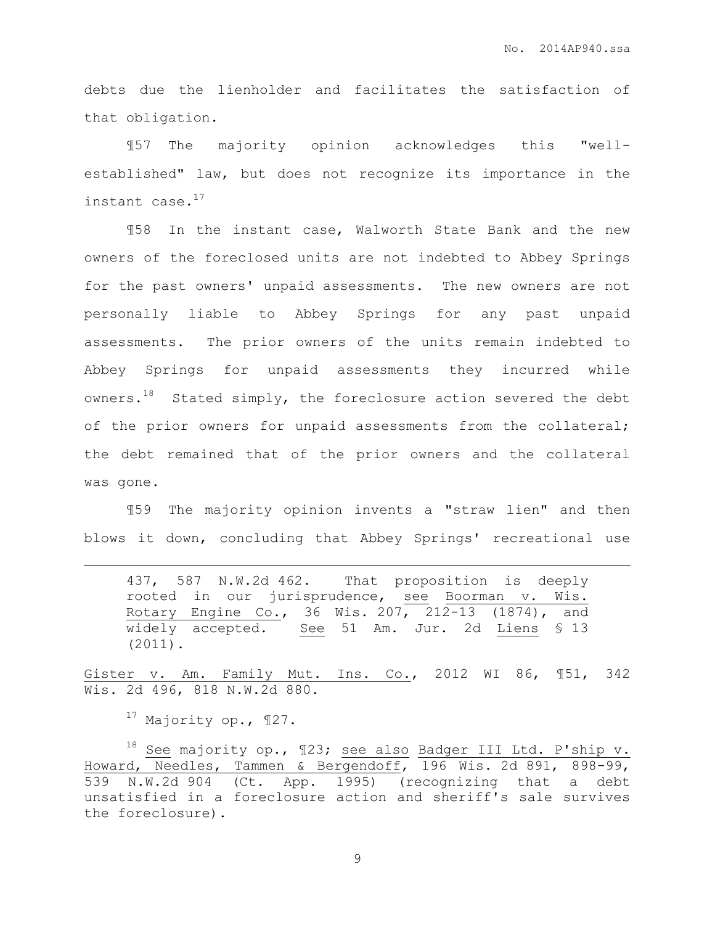debts due the lienholder and facilitates the satisfaction of that obligation.

¶57 The majority opinion acknowledges this "wellestablished" law, but does not recognize its importance in the instant case.<sup>17</sup>

¶58 In the instant case, Walworth State Bank and the new owners of the foreclosed units are not indebted to Abbey Springs for the past owners' unpaid assessments. The new owners are not personally liable to Abbey Springs for any past unpaid assessments. The prior owners of the units remain indebted to Abbey Springs for unpaid assessments they incurred while owners. $18$  Stated simply, the foreclosure action severed the debt of the prior owners for unpaid assessments from the collateral; the debt remained that of the prior owners and the collateral was gone.

¶59 The majority opinion invents a "straw lien" and then blows it down, concluding that Abbey Springs' recreational use

437, 587 N.W.2d 462. That proposition is deeply rooted in our jurisprudence, see Boorman v. Wis. Rotary Engine Co., 36 Wis. 207, 212-13 (1874), and widely accepted. See 51 Am. Jur. 2d Liens \$ 13 (2011).

Gister v. Am. Family Mut. Ins. Co., 2012 WI 86, ¶51, 342 Wis. 2d 496, 818 N.W.2d 880.

 $17$  Majority op.,  $\P$ 27.

 $\overline{a}$ 

18 See majority op., 123; see also Badger III Ltd. P'ship v. Howard, Needles, Tammen & Bergendoff, 196 Wis. 2d 891, 898-99, 539 N.W.2d 904 (Ct. App. 1995) (recognizing that a debt unsatisfied in a foreclosure action and sheriff's sale survives the foreclosure).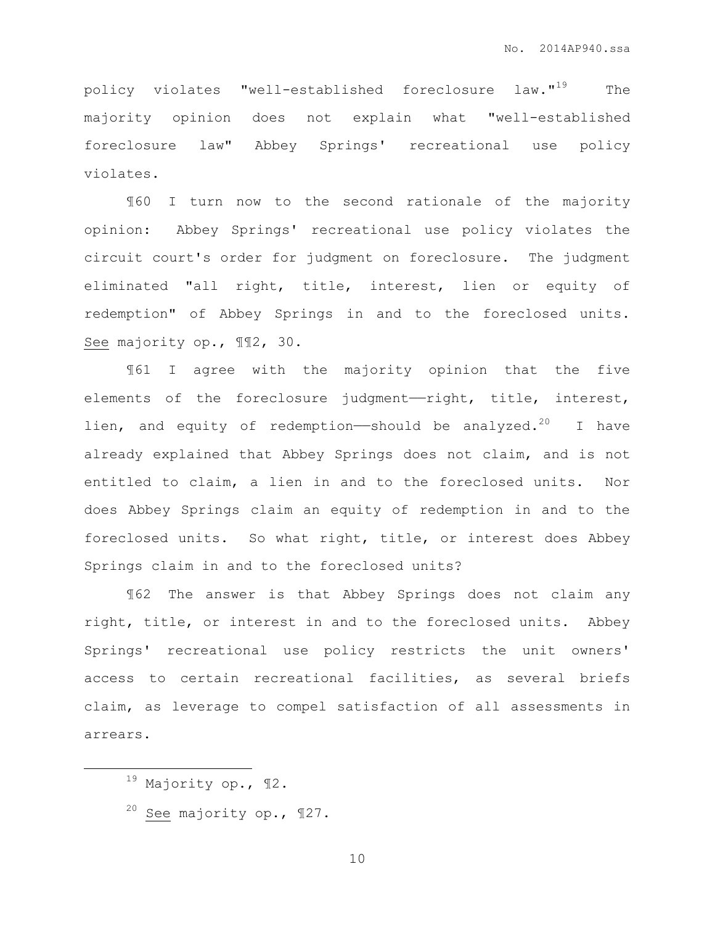policy violates "well-established foreclosure law."<sup>19</sup> The majority opinion does not explain what "well-established foreclosure law" Abbey Springs' recreational use policy violates.

¶60 I turn now to the second rationale of the majority opinion: Abbey Springs' recreational use policy violates the circuit court's order for judgment on foreclosure. The judgment eliminated "all right, title, interest, lien or equity of redemption" of Abbey Springs in and to the foreclosed units. See majority op., ¶¶2, 30.

¶61 I agree with the majority opinion that the five elements of the foreclosure judgment-right, title, interest, lien, and equity of redemption—should be analyzed.<sup>20</sup> I have already explained that Abbey Springs does not claim, and is not entitled to claim, a lien in and to the foreclosed units. Nor does Abbey Springs claim an equity of redemption in and to the foreclosed units. So what right, title, or interest does Abbey Springs claim in and to the foreclosed units?

¶62 The answer is that Abbey Springs does not claim any right, title, or interest in and to the foreclosed units. Abbey Springs' recreational use policy restricts the unit owners' access to certain recreational facilities, as several briefs claim, as leverage to compel satisfaction of all assessments in arrears.

 $\overline{a}$ 

<sup>19</sup> Majority op., ¶2.

 $20$  See majority op., 127.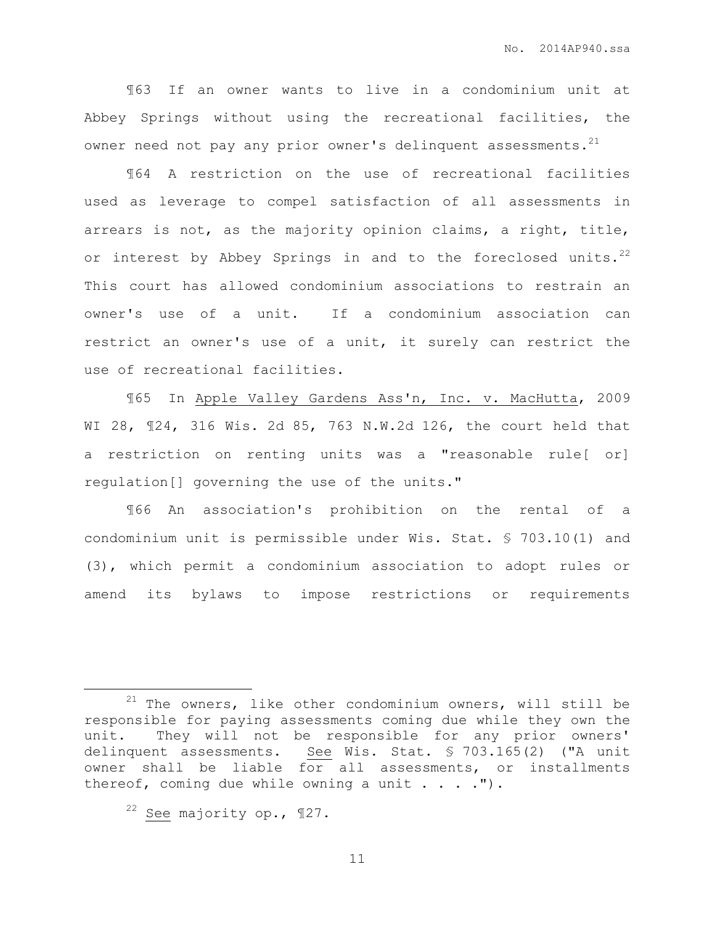¶63 If an owner wants to live in a condominium unit at Abbey Springs without using the recreational facilities, the owner need not pay any prior owner's delinquent assessments.<sup>21</sup>

¶64 A restriction on the use of recreational facilities used as leverage to compel satisfaction of all assessments in arrears is not, as the majority opinion claims, a right, title, or interest by Abbey Springs in and to the foreclosed units.<sup>22</sup> This court has allowed condominium associations to restrain an owner's use of a unit. If a condominium association can restrict an owner's use of a unit, it surely can restrict the use of recreational facilities.

¶65 In Apple Valley Gardens Ass'n, Inc. v. MacHutta, 2009 WI 28, ¶24, 316 Wis. 2d 85, 763 N.W.2d 126, the court held that a restriction on renting units was a "reasonable rule[ or] regulation[] governing the use of the units."

¶66 An association's prohibition on the rental of a condominium unit is permissible under Wis. Stat. § 703.10(1) and (3), which permit a condominium association to adopt rules or amend its bylaws to impose restrictions or requirements

 $\overline{a}$ 

 $21$  The owners, like other condominium owners, will still be responsible for paying assessments coming due while they own the unit. They will not be responsible for any prior owners' delinquent assessments. See Wis. Stat. § 703.165(2) ("A unit owner shall be liable for all assessments, or installments thereof, coming due while owning a unit  $\ldots$ .").

 $22$  See majority op., 127.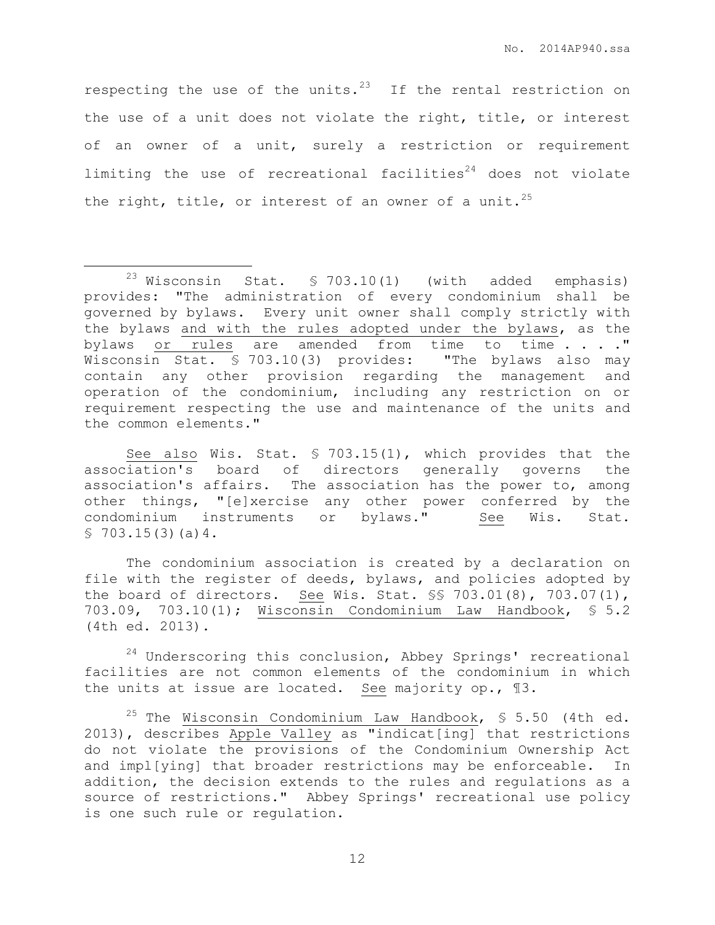respecting the use of the units. $^{23}$  If the rental restriction on the use of a unit does not violate the right, title, or interest of an owner of a unit, surely a restriction or requirement limiting the use of recreational facilities $24$  does not violate the right, title, or interest of an owner of a unit.<sup>25</sup>

 $\overline{a}$ 

See also Wis. Stat. § 703.15(1), which provides that the association's board of directors generally governs the association's affairs. The association has the power to, among other things, "[e]xercise any other power conferred by the condominium instruments or bylaws." See Wis. Stat.  $$703.15(3)(a)4.$ 

The condominium association is created by a declaration on file with the register of deeds, bylaws, and policies adopted by the board of directors. See Wis. Stat. §§ 703.01(8), 703.07(1), 703.09, 703.10(1); Wisconsin Condominium Law Handbook, § 5.2 (4th ed. 2013).

 $24$  Underscoring this conclusion, Abbey Springs' recreational facilities are not common elements of the condominium in which the units at issue are located. See majority op., ¶3.

<sup>25</sup> The Wisconsin Condominium Law Handbook,  $\frac{1}{5}$  5.50 (4th ed. 2013), describes Apple Valley as "indicat[ing] that restrictions do not violate the provisions of the Condominium Ownership Act and impl[ying] that broader restrictions may be enforceable. In addition, the decision extends to the rules and regulations as a source of restrictions." Abbey Springs' recreational use policy is one such rule or regulation.

 $23$  Wisconsin Stat. § 703.10(1) (with added emphasis) provides: "The administration of every condominium shall be governed by bylaws. Every unit owner shall comply strictly with the bylaws and with the rules adopted under the bylaws, as the bylaws or rules are amended from time to time . . . . " Wisconsin Stat. § 703.10(3) provides: "The bylaws also may contain any other provision regarding the management and operation of the condominium, including any restriction on or requirement respecting the use and maintenance of the units and the common elements."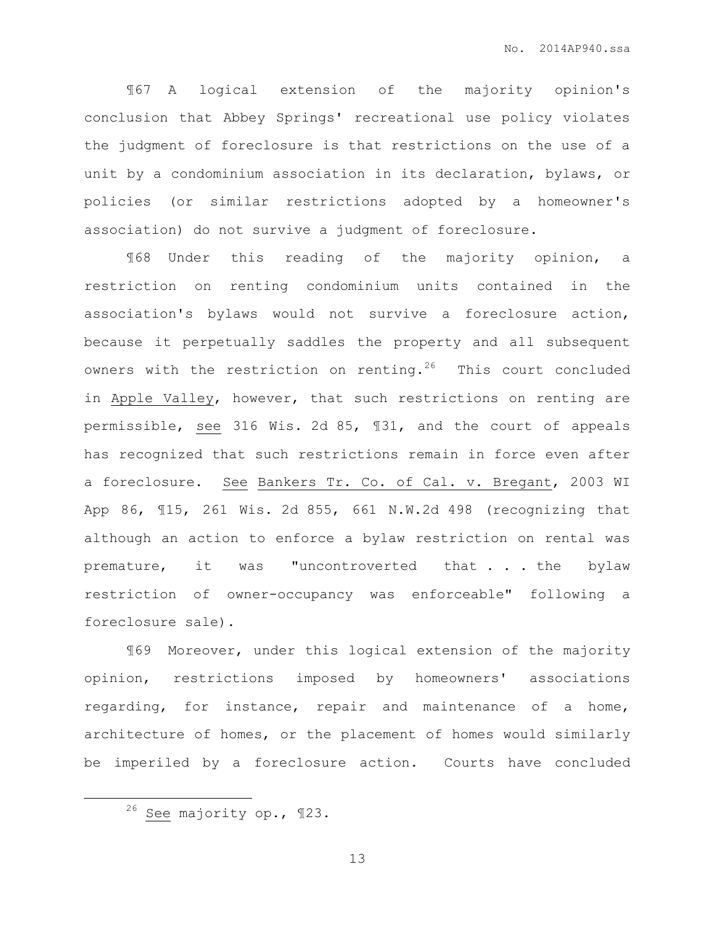¶67 A logical extension of the majority opinion's conclusion that Abbey Springs' recreational use policy violates the judgment of foreclosure is that restrictions on the use of a unit by a condominium association in its declaration, bylaws, or policies (or similar restrictions adopted by a homeowner's association) do not survive a judgment of foreclosure.

¶68 Under this reading of the majority opinion, a restriction on renting condominium units contained in the association's bylaws would not survive a foreclosure action, because it perpetually saddles the property and all subsequent owners with the restriction on renting.<sup>26</sup> This court concluded in Apple Valley, however, that such restrictions on renting are permissible, see 316 Wis. 2d 85, ¶31, and the court of appeals has recognized that such restrictions remain in force even after a foreclosure. See Bankers Tr. Co. of Cal. v. Bregant, 2003 WI App 86, ¶15, 261 Wis. 2d 855, 661 N.W.2d 498 (recognizing that although an action to enforce a bylaw restriction on rental was premature, it was "uncontroverted that . . . the bylaw restriction of owner-occupancy was enforceable" following a foreclosure sale).

¶69 Moreover, under this logical extension of the majority opinion, restrictions imposed by homeowners' associations regarding, for instance, repair and maintenance of a home, architecture of homes, or the placement of homes would similarly be imperiled by a foreclosure action. Courts have concluded

 $\overline{a}$ 

<sup>26</sup> See majority op., ¶23.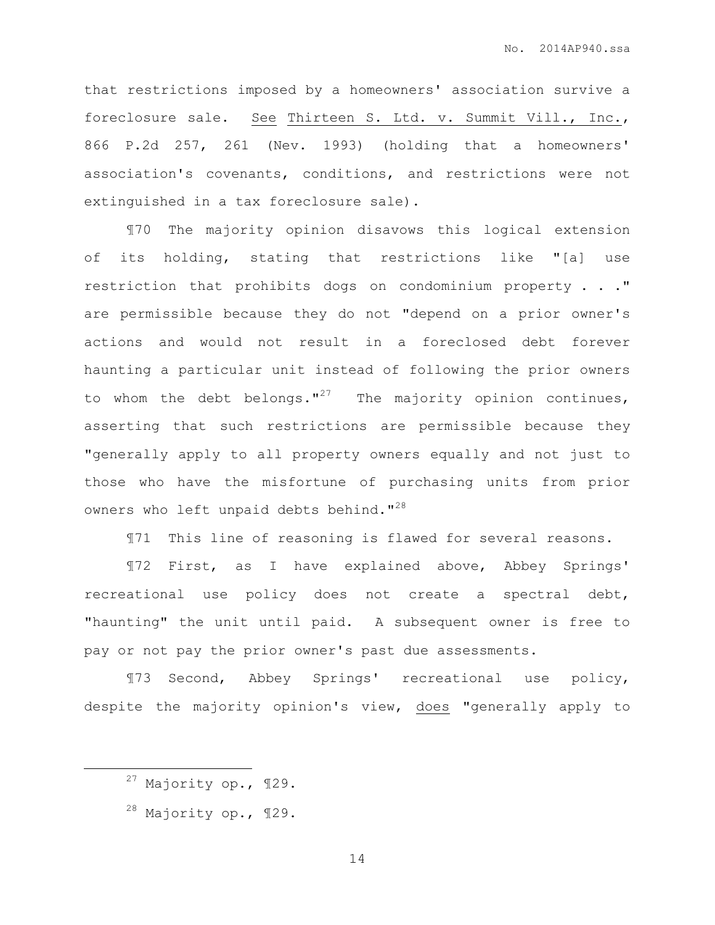that restrictions imposed by a homeowners' association survive a foreclosure sale. See Thirteen S. Ltd. v. Summit Vill., Inc., 866 P.2d 257, 261 (Nev. 1993) (holding that a homeowners' association's covenants, conditions, and restrictions were not extinguished in a tax foreclosure sale).

¶70 The majority opinion disavows this logical extension of its holding, stating that restrictions like "[a] use restriction that prohibits dogs on condominium property . . ." are permissible because they do not "depend on a prior owner's actions and would not result in a foreclosed debt forever haunting a particular unit instead of following the prior owners to whom the debt belongs."<sup>27</sup> The majority opinion continues, asserting that such restrictions are permissible because they "generally apply to all property owners equally and not just to those who have the misfortune of purchasing units from prior owners who left unpaid debts behind."<sup>28</sup>

¶71 This line of reasoning is flawed for several reasons.

¶72 First, as I have explained above, Abbey Springs' recreational use policy does not create a spectral debt, "haunting" the unit until paid. A subsequent owner is free to pay or not pay the prior owner's past due assessments.

¶73 Second, Abbey Springs' recreational use policy, despite the majority opinion's view, does "generally apply to

 $\overline{a}$ 

<sup>27</sup> Majority op., ¶29.

 $28$  Majority op.,  $129$ .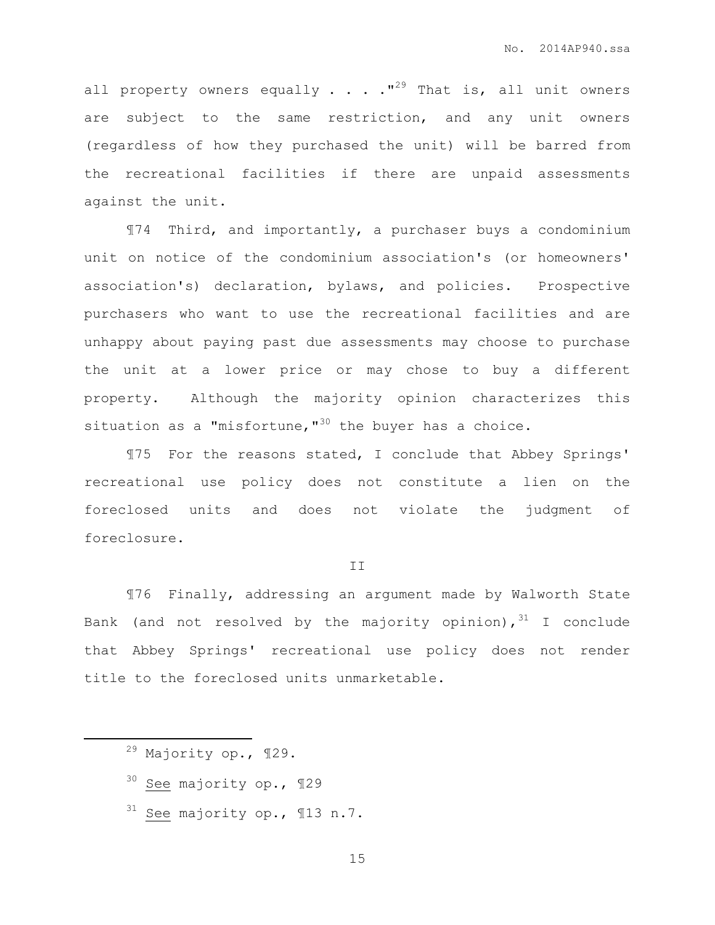all property owners equally  $\ldots$  . . . "<sup>29</sup> That is, all unit owners are subject to the same restriction, and any unit owners (regardless of how they purchased the unit) will be barred from the recreational facilities if there are unpaid assessments against the unit.

¶74 Third, and importantly, a purchaser buys a condominium unit on notice of the condominium association's (or homeowners' association's) declaration, bylaws, and policies. Prospective purchasers who want to use the recreational facilities and are unhappy about paying past due assessments may choose to purchase the unit at a lower price or may chose to buy a different property. Although the majority opinion characterizes this situation as a "misfortune, $^{\prime\prime\prime}$ " the buyer has a choice.

¶75 For the reasons stated, I conclude that Abbey Springs' recreational use policy does not constitute a lien on the foreclosed units and does not violate the judgment of foreclosure.

### II

¶76 Finally, addressing an argument made by Walworth State Bank (and not resolved by the majority opinion),  $31$  I conclude that Abbey Springs' recreational use policy does not render title to the foreclosed units unmarketable.

 $\overline{a}$ 

- <sup>30</sup> See majority op., ¶29
- $31$  See majority op., 113 n.7.

<sup>29</sup> Majority op., ¶29.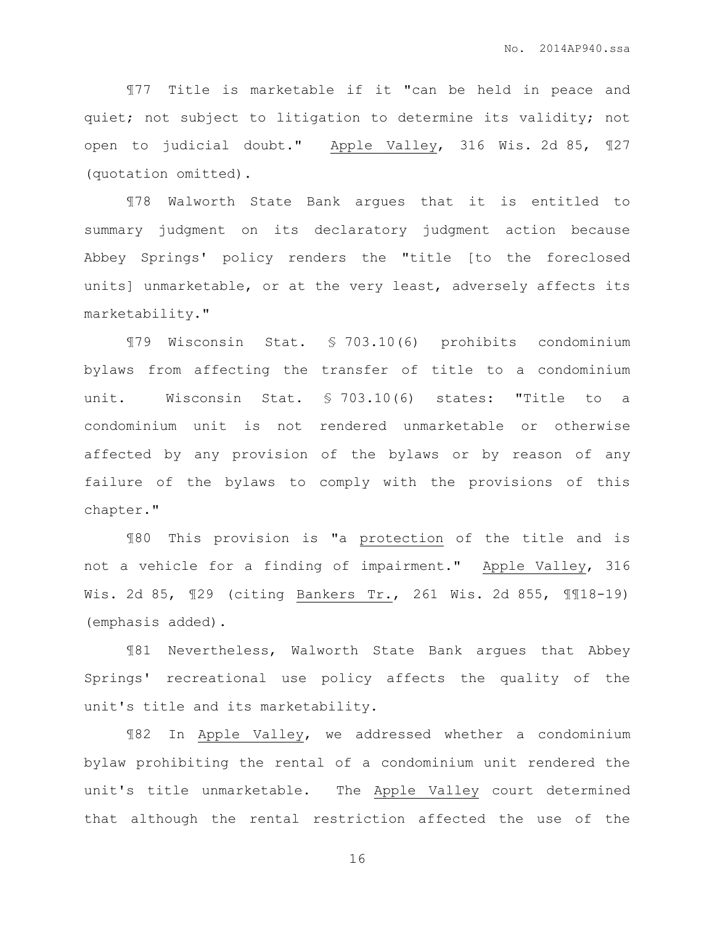¶77 Title is marketable if it "can be held in peace and quiet; not subject to litigation to determine its validity; not open to judicial doubt." Apple Valley, 316 Wis. 2d 85, ¶27 (quotation omitted).

¶78 Walworth State Bank argues that it is entitled to summary judgment on its declaratory judgment action because Abbey Springs' policy renders the "title [to the foreclosed units] unmarketable, or at the very least, adversely affects its marketability."

¶79 Wisconsin Stat. § 703.10(6) prohibits condominium bylaws from affecting the transfer of title to a condominium unit. Wisconsin Stat. § 703.10(6) states: "Title to a condominium unit is not rendered unmarketable or otherwise affected by any provision of the bylaws or by reason of any failure of the bylaws to comply with the provisions of this chapter."

¶80 This provision is "a protection of the title and is not a vehicle for a finding of impairment." Apple Valley, 316 Wis. 2d 85, ¶29 (citing Bankers Tr., 261 Wis. 2d 855, ¶¶18-19) (emphasis added).

¶81 Nevertheless, Walworth State Bank argues that Abbey Springs' recreational use policy affects the quality of the unit's title and its marketability.

¶82 In Apple Valley, we addressed whether a condominium bylaw prohibiting the rental of a condominium unit rendered the unit's title unmarketable. The Apple Valley court determined that although the rental restriction affected the use of the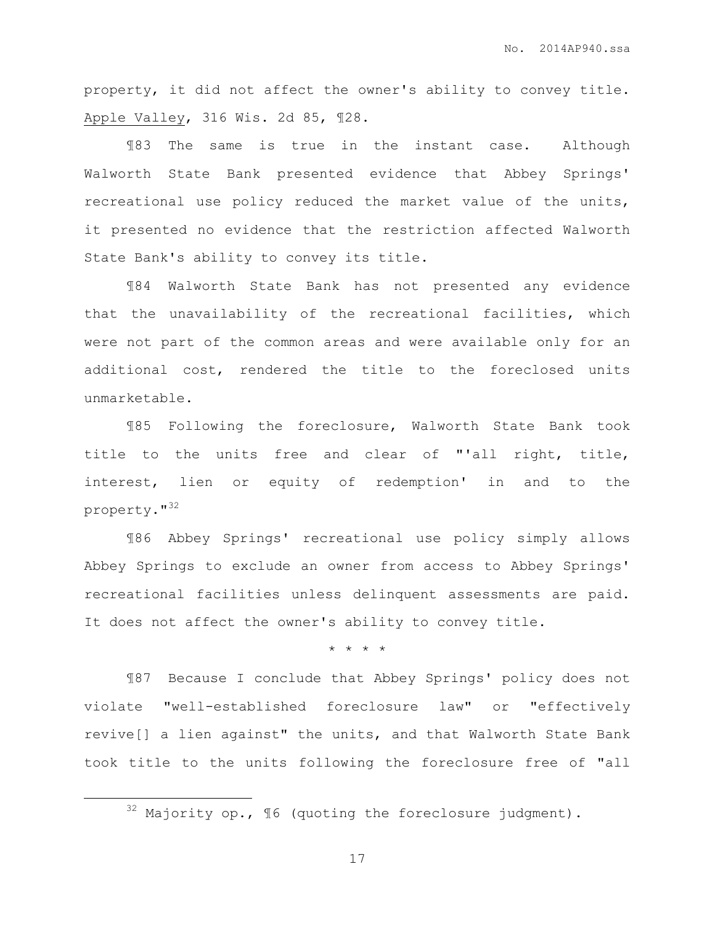property, it did not affect the owner's ability to convey title. Apple Valley, 316 Wis. 2d 85, ¶28.

¶83 The same is true in the instant case. Although Walworth State Bank presented evidence that Abbey Springs' recreational use policy reduced the market value of the units, it presented no evidence that the restriction affected Walworth State Bank's ability to convey its title.

¶84 Walworth State Bank has not presented any evidence that the unavailability of the recreational facilities, which were not part of the common areas and were available only for an additional cost, rendered the title to the foreclosed units unmarketable.

¶85 Following the foreclosure, Walworth State Bank took title to the units free and clear of "'all right, title, interest, lien or equity of redemption' in and to the property."<sup>32</sup>

¶86 Abbey Springs' recreational use policy simply allows Abbey Springs to exclude an owner from access to Abbey Springs' recreational facilities unless delinquent assessments are paid. It does not affect the owner's ability to convey title.

\* \* \* \*

¶87 Because I conclude that Abbey Springs' policy does not violate "well-established foreclosure law" or "effectively revive[] a lien against" the units, and that Walworth State Bank took title to the units following the foreclosure free of "all

 $\overline{a}$ 

 $32$  Majority op.,  $\sqrt{ }$  (quoting the foreclosure judgment).